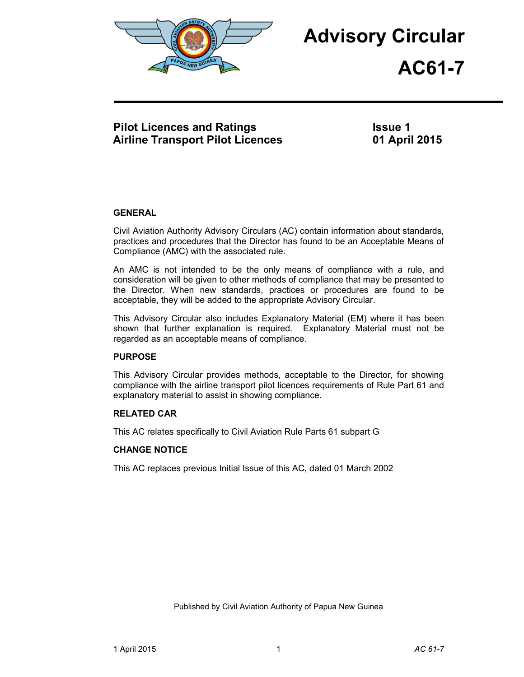

# **Advisory Circular**



# **Pilot Licences and Ratings Airline Transport Pilot Licences**

**Issue 1 01 April 2015**

# **GENERAL**

Civil Aviation Authority Advisory Circulars (AC) contain information about standards, practices and procedures that the Director has found to be an Acceptable Means of Compliance (AMC) with the associated rule.

An AMC is not intended to be the only means of compliance with a rule, and consideration will be given to other methods of compliance that may be presented to the Director. When new standards, practices or procedures are found to be acceptable, they will be added to the appropriate Advisory Circular.

This Advisory Circular also includes Explanatory Material (EM) where it has been shown that further explanation is required. Explanatory Material must not be regarded as an acceptable means of compliance.

# **PURPOSE**

This Advisory Circular provides methods, acceptable to the Director, for showing compliance with the airline transport pilot licences requirements of Rule Part 61 and explanatory material to assist in showing compliance.

# **RELATED CAR**

This AC relates specifically to Civil Aviation Rule Parts 61 subpart G

# **CHANGE NOTICE**

This AC replaces previous Initial Issue of this AC, dated 01 March 2002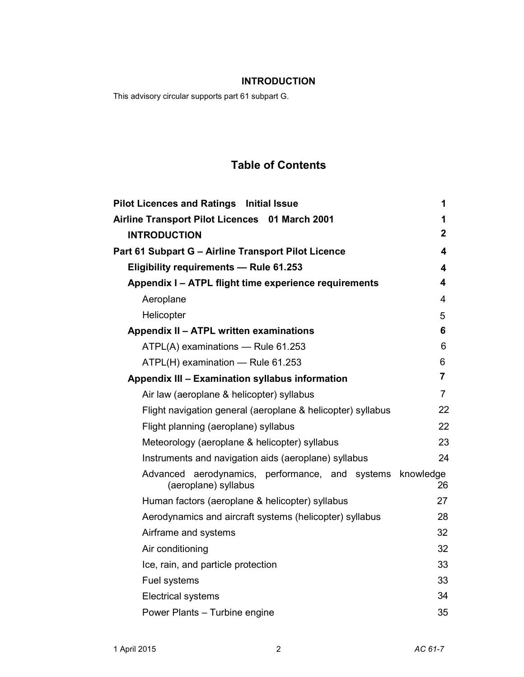# **INTRODUCTION**

This advisory circular supports part 61 subpart G.

# **Table of Contents**

| <b>Pilot Licences and Ratings Initial Issue</b>                                   | 1              |
|-----------------------------------------------------------------------------------|----------------|
| Airline Transport Pilot Licences 01 March 2001                                    | 1              |
| <b>INTRODUCTION</b>                                                               | $\mathbf{2}$   |
| Part 61 Subpart G - Airline Transport Pilot Licence                               | 4              |
| Eligibility requirements - Rule 61.253                                            | 4              |
| Appendix I - ATPL flight time experience requirements                             | 4              |
| Aeroplane                                                                         | 4              |
| Helicopter                                                                        | 5              |
| Appendix II - ATPL written examinations                                           | 6              |
| ATPL(A) examinations - Rule 61.253                                                | 6              |
| ATPL(H) examination - Rule 61.253                                                 | 6              |
| Appendix III - Examination syllabus information                                   | $\overline{7}$ |
| Air law (aeroplane & helicopter) syllabus                                         | $\overline{7}$ |
| Flight navigation general (aeroplane & helicopter) syllabus                       | 22             |
| Flight planning (aeroplane) syllabus                                              | 22             |
| Meteorology (aeroplane & helicopter) syllabus                                     | 23             |
| Instruments and navigation aids (aeroplane) syllabus                              | 24             |
| Advanced aerodynamics, performance, and systems knowledge<br>(aeroplane) syllabus | 26             |
| Human factors (aeroplane & helicopter) syllabus                                   | 27             |
| Aerodynamics and aircraft systems (helicopter) syllabus                           | 28             |
| Airframe and systems                                                              | 32             |
| Air conditioning                                                                  | 32             |
| Ice, rain, and particle protection                                                | 33             |
| Fuel systems                                                                      | 33             |
| <b>Electrical systems</b>                                                         | 34             |
| Power Plants - Turbine engine                                                     | 35             |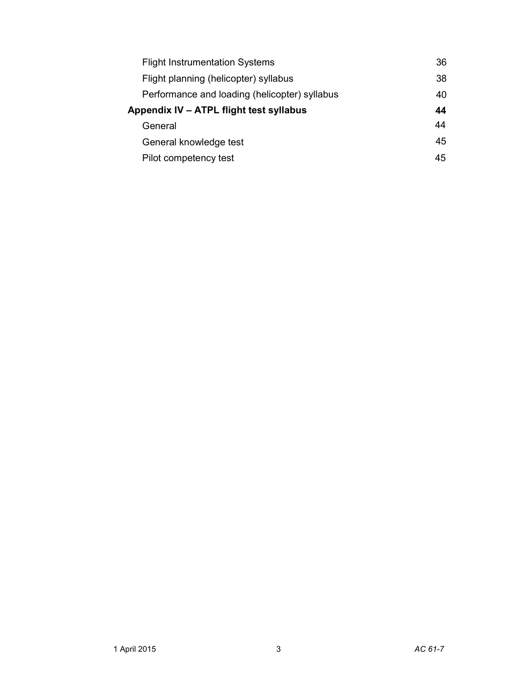| <b>Flight Instrumentation Systems</b>         | 36 |
|-----------------------------------------------|----|
| Flight planning (helicopter) syllabus         | 38 |
| Performance and loading (helicopter) syllabus | 40 |
| Appendix IV - ATPL flight test syllabus       | 44 |
| General                                       | 44 |
| General knowledge test                        | 45 |
| Pilot competency test                         | 45 |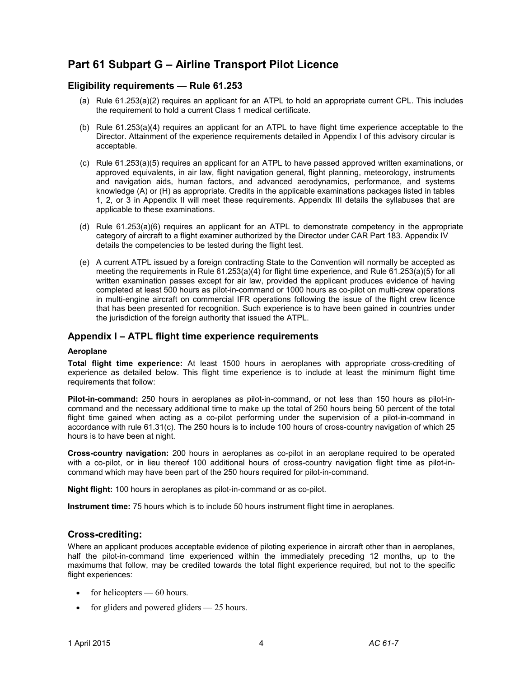# **Part 61 Subpart G – Airline Transport Pilot Licence**

# **Eligibility requirements — Rule 61.253**

- (a) Rule 61.253(a)(2) requires an applicant for an ATPL to hold an appropriate current CPL. This includes the requirement to hold a current Class 1 medical certificate.
- (b) Rule 61.253(a)(4) requires an applicant for an ATPL to have flight time experience acceptable to the Director. Attainment of the experience requirements detailed in Appendix I of this advisory circular is acceptable.
- (c) Rule 61.253(a)(5) requires an applicant for an ATPL to have passed approved written examinations, or approved equivalents, in air law, flight navigation general, flight planning, meteorology, instruments and navigation aids, human factors, and advanced aerodynamics, performance, and systems knowledge (A) or (H) as appropriate. Credits in the applicable examinations packages listed in tables 1, 2, or 3 in Appendix II will meet these requirements. Appendix III details the syllabuses that are applicable to these examinations.
- (d) Rule 61.253(a)(6) requires an applicant for an ATPL to demonstrate competency in the appropriate category of aircraft to a flight examiner authorized by the Director under CAR Part 183. Appendix IV details the competencies to be tested during the flight test.
- (e) A current ATPL issued by a foreign contracting State to the Convention will normally be accepted as meeting the requirements in Rule 61.253(a)(4) for flight time experience, and Rule 61.253(a)(5) for all written examination passes except for air law, provided the applicant produces evidence of having completed at least 500 hours as pilot-in-command or 1000 hours as co-pilot on multi-crew operations in multi-engine aircraft on commercial IFR operations following the issue of the flight crew licence that has been presented for recognition. Such experience is to have been gained in countries under the jurisdiction of the foreign authority that issued the ATPL.

# **Appendix I – ATPL flight time experience requirements**

#### **Aeroplane**

**Total flight time experience:** At least 1500 hours in aeroplanes with appropriate cross-crediting of experience as detailed below. This flight time experience is to include at least the minimum flight time requirements that follow:

**Pilot-in-command:** 250 hours in aeroplanes as pilot-in-command, or not less than 150 hours as pilot-incommand and the necessary additional time to make up the total of 250 hours being 50 percent of the total flight time gained when acting as a co-pilot performing under the supervision of a pilot-in-command in accordance with rule 61.31(c). The 250 hours is to include 100 hours of cross-country navigation of which 25 hours is to have been at night.

**Cross-country navigation:** 200 hours in aeroplanes as co-pilot in an aeroplane required to be operated with a co-pilot, or in lieu thereof 100 additional hours of cross-country navigation flight time as pilot-incommand which may have been part of the 250 hours required for pilot-in-command.

**Night flight:** 100 hours in aeroplanes as pilot-in-command or as co-pilot.

**Instrument time:** 75 hours which is to include 50 hours instrument flight time in aeroplanes.

# **Cross-crediting:**

Where an applicant produces acceptable evidence of piloting experience in aircraft other than in aeroplanes, half the pilot-in-command time experienced within the immediately preceding 12 months, up to the maximums that follow, may be credited towards the total flight experience required, but not to the specific flight experiences:

- for helicopters  $-60$  hours.
- for gliders and powered gliders  $-25$  hours.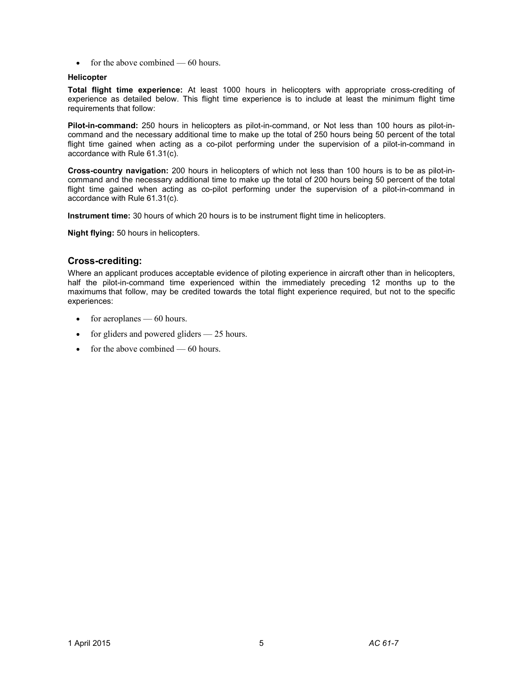• for the above combined  $-60$  hours.

#### **Helicopter**

**Total flight time experience:** At least 1000 hours in helicopters with appropriate cross-crediting of experience as detailed below. This flight time experience is to include at least the minimum flight time requirements that follow:

**Pilot-in-command:** 250 hours in helicopters as pilot-in-command, or Not less than 100 hours as pilot-incommand and the necessary additional time to make up the total of 250 hours being 50 percent of the total flight time gained when acting as a co-pilot performing under the supervision of a pilot-in-command in accordance with Rule 61.31(c).

**Cross-country navigation:** 200 hours in helicopters of which not less than 100 hours is to be as pilot-incommand and the necessary additional time to make up the total of 200 hours being 50 percent of the total flight time gained when acting as co-pilot performing under the supervision of a pilot-in-command in accordance with Rule 61.31(c).

**Instrument time:** 30 hours of which 20 hours is to be instrument flight time in helicopters.

**Night flying:** 50 hours in helicopters.

# **Cross-crediting:**

Where an applicant produces acceptable evidence of piloting experience in aircraft other than in helicopters, half the pilot-in-command time experienced within the immediately preceding 12 months up to the maximums that follow, may be credited towards the total flight experience required, but not to the specific experiences:

- for aeroplanes 60 hours.
- for gliders and powered gliders 25 hours.
- for the above combined  $-60$  hours.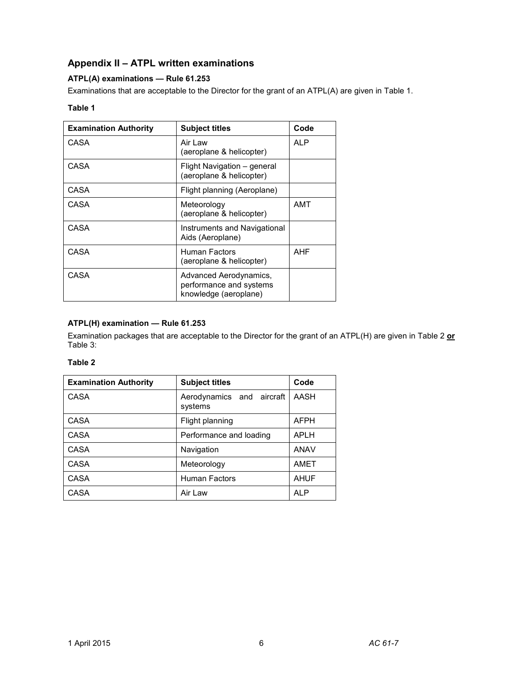# **Appendix II – ATPL written examinations**

# **ATPL(A) examinations — Rule 61.253**

Examinations that are acceptable to the Director for the grant of an ATPL(A) are given in Table 1.

# **Table 1**

| <b>Examination Authority</b> | <b>Subject titles</b>                                                      | Code       |
|------------------------------|----------------------------------------------------------------------------|------------|
| CASA                         | Air Law<br>(aeroplane & helicopter)                                        | <b>ALP</b> |
| CASA                         | Flight Navigation – general<br>(aeroplane & helicopter)                    |            |
| CASA                         | Flight planning (Aeroplane)                                                |            |
| CASA                         | Meteorology<br>(aeroplane & helicopter)                                    | AMT        |
| CASA                         | Instruments and Navigational<br>Aids (Aeroplane)                           |            |
| CASA                         | Human Factors<br>(aeroplane & helicopter)                                  | AHF        |
| CASA                         | Advanced Aerodynamics,<br>performance and systems<br>knowledge (aeroplane) |            |

### **ATPL(H) examination — Rule 61.253**

Examination packages that are acceptable to the Director for the grant of an ATPL(H) are given in Table 2 **or** Table 3:

# **Table 2**

| <b>Examination Authority</b> | <b>Subject titles</b>                | Code        |
|------------------------------|--------------------------------------|-------------|
| CASA                         | Aerodynamics and aircraft<br>systems | AASH        |
| <b>CASA</b>                  | Flight planning                      | <b>AFPH</b> |
| CASA                         | Performance and loading              | <b>APLH</b> |
| CASA                         | Navigation                           | <b>ANAV</b> |
| CASA                         | Meteorology                          | AMET        |
| CASA                         | <b>Human Factors</b>                 | <b>AHUF</b> |
| CASA                         | Air Law                              | <b>ALP</b>  |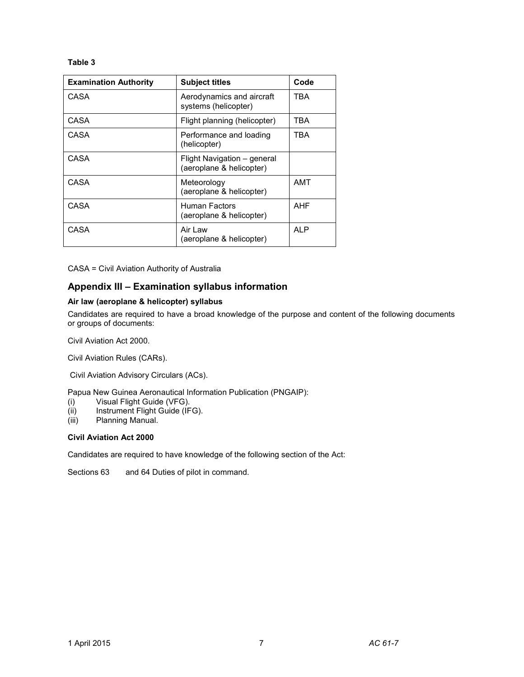#### **Table 3**

| <b>Examination Authority</b> | <b>Subject titles</b>                                   | Code |
|------------------------------|---------------------------------------------------------|------|
| CASA                         | Aerodynamics and aircraft<br>systems (helicopter)       | TBA  |
| CASA                         | Flight planning (helicopter)                            | TBA  |
| CASA                         | Performance and loading<br>(helicopter)                 | TBA  |
| CASA                         | Flight Navigation – general<br>(aeroplane & helicopter) |      |
| CASA                         | Meteorology<br>(aeroplane & helicopter)                 | AMT  |
| CASA                         | Human Factors<br>(aeroplane & helicopter)               | AHF  |
| CASA                         | Air I aw<br>(aeroplane & helicopter)                    | AI P |

CASA = Civil Aviation Authority of Australia

# **Appendix III – Examination syllabus information**

#### **Air law (aeroplane & helicopter) syllabus**

Candidates are required to have a broad knowledge of the purpose and content of the following documents or groups of documents:

Civil Aviation Act 2000.

Civil Aviation Rules (CARs).

Civil Aviation Advisory Circulars (ACs).

Papua New Guinea Aeronautical Information Publication (PNGAIP):

- (i) Visual Flight Guide (VFG).
- (ii) Instrument Flight Guide (IFG).<br>(iii) Planning Manual.
- Planning Manual.

#### **Civil Aviation Act 2000**

Candidates are required to have knowledge of the following section of the Act:

Sections 63 and 64 Duties of pilot in command.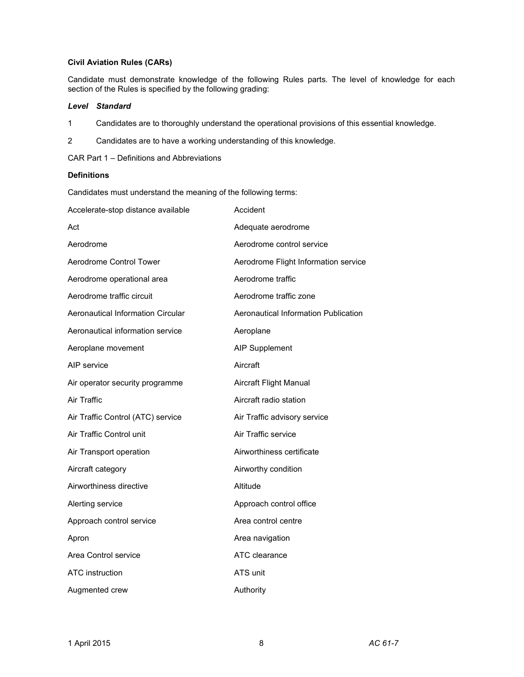#### **Civil Aviation Rules (CARs)**

Candidate must demonstrate knowledge of the following Rules parts. The level of knowledge for each section of the Rules is specified by the following grading:

#### *Level Standard*

- 1 Candidates are to thoroughly understand the operational provisions of this essential knowledge.
- 2 Candidates are to have a working understanding of this knowledge.

CAR Part 1 – Definitions and Abbreviations

#### **Definitions**

Candidates must understand the meaning of the following terms:

| Accelerate-stop distance available | Accident                             |
|------------------------------------|--------------------------------------|
| Act                                | Adequate aerodrome                   |
| Aerodrome                          | Aerodrome control service            |
| Aerodrome Control Tower            | Aerodrome Flight Information service |
| Aerodrome operational area         | Aerodrome traffic                    |
| Aerodrome traffic circuit          | Aerodrome traffic zone               |
| Aeronautical Information Circular  | Aeronautical Information Publication |
| Aeronautical information service   | Aeroplane                            |
| Aeroplane movement                 | <b>AIP Supplement</b>                |
| AIP service                        | Aircraft                             |
| Air operator security programme    | <b>Aircraft Flight Manual</b>        |
| Air Traffic                        | Aircraft radio station               |
| Air Traffic Control (ATC) service  | Air Traffic advisory service         |
| Air Traffic Control unit           | Air Traffic service                  |
| Air Transport operation            | Airworthiness certificate            |
| Aircraft category                  | Airworthy condition                  |
| Airworthiness directive            | Altitude                             |
| Alerting service                   | Approach control office              |
| Approach control service           | Area control centre                  |
| Apron                              | Area navigation                      |
| Area Control service               | ATC clearance                        |
| <b>ATC</b> instruction             | ATS unit                             |
| Augmented crew                     | Authority                            |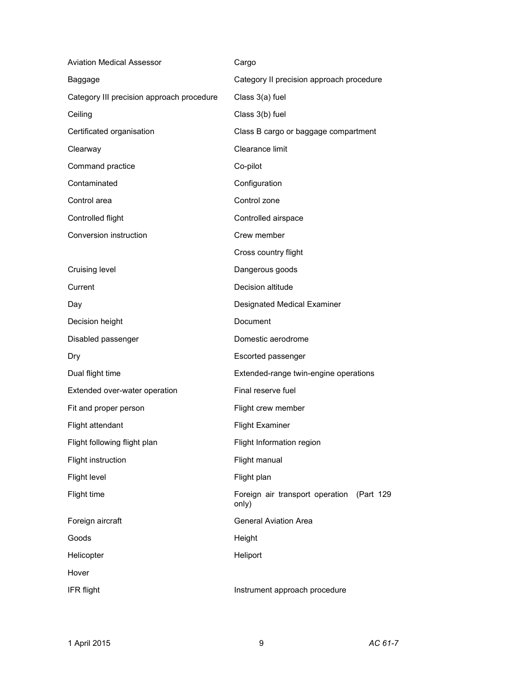| <b>Aviation Medical Assessor</b>          | Cargo                                                 |
|-------------------------------------------|-------------------------------------------------------|
| Baggage                                   | Category II precision approach procedure              |
| Category III precision approach procedure | Class 3(a) fuel                                       |
| Ceiling                                   | Class 3(b) fuel                                       |
| Certificated organisation                 | Class B cargo or baggage compartment                  |
| Clearway                                  | Clearance limit                                       |
| Command practice                          | Co-pilot                                              |
| Contaminated                              | Configuration                                         |
| Control area                              | Control zone                                          |
| Controlled flight                         | Controlled airspace                                   |
| Conversion instruction                    | Crew member                                           |
|                                           | Cross country flight                                  |
| Cruising level                            | Dangerous goods                                       |
| Current                                   | Decision altitude                                     |
| Day                                       | Designated Medical Examiner                           |
| Decision height                           | Document                                              |
| Disabled passenger                        | Domestic aerodrome                                    |
| Dry                                       | Escorted passenger                                    |
| Dual flight time                          | Extended-range twin-engine operations                 |
| Extended over-water operation             | Final reserve fuel                                    |
| Fit and proper person                     | Flight crew member                                    |
| Flight attendant                          | <b>Flight Examiner</b>                                |
| Flight following flight plan              | Flight Information region                             |
| Flight instruction                        | Flight manual                                         |
| Flight level                              | Flight plan                                           |
| Flight time                               | Foreign air transport operation<br>(Part 129<br>only) |
| Foreign aircraft                          | <b>General Aviation Area</b>                          |
| Goods                                     | Height                                                |
| Helicopter                                | Heliport                                              |
| Hover                                     |                                                       |
| <b>IFR flight</b>                         | Instrument approach procedure                         |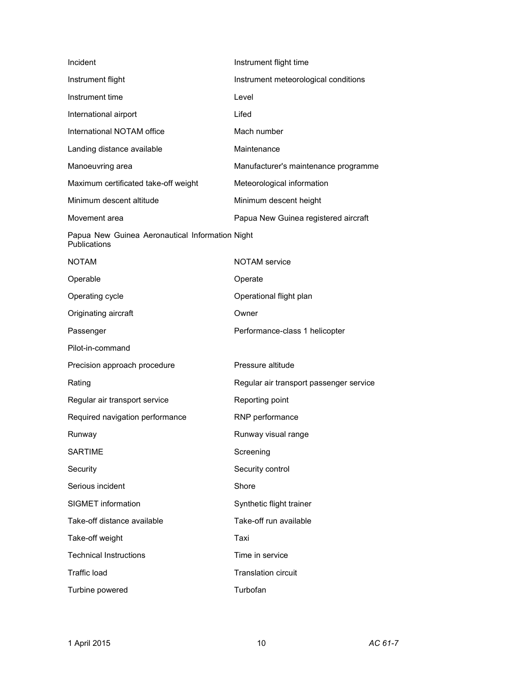| Incident                                                        | Instrument flight time                  |
|-----------------------------------------------------------------|-----------------------------------------|
| Instrument flight                                               | Instrument meteorological conditions    |
| Instrument time                                                 | Level                                   |
| International airport                                           | Lifed                                   |
| International NOTAM office                                      | Mach number                             |
| Landing distance available                                      | Maintenance                             |
| Manoeuvring area                                                | Manufacturer's maintenance programme    |
| Maximum certificated take-off weight                            | Meteorological information              |
| Minimum descent altitude                                        | Minimum descent height                  |
| Movement area                                                   | Papua New Guinea registered aircraft    |
| Papua New Guinea Aeronautical Information Night<br>Publications |                                         |
| NOTAM                                                           | <b>NOTAM</b> service                    |
| Operable                                                        | Operate                                 |
| Operating cycle                                                 | Operational flight plan                 |
| Originating aircraft                                            | Owner                                   |
| Passenger                                                       | Performance-class 1 helicopter          |
| Pilot-in-command                                                |                                         |
| Precision approach procedure                                    | Pressure altitude                       |
| Rating                                                          | Regular air transport passenger service |
| Regular air transport service                                   | Reporting point                         |
| Required navigation performance                                 | RNP performance                         |
| Runway                                                          | Runway visual range                     |
| <b>SARTIME</b>                                                  | Screening                               |
| Security                                                        | Security control                        |
| Serious incident                                                | Shore                                   |
| <b>SIGMET</b> information                                       | Synthetic flight trainer                |
| Take-off distance available                                     | Take-off run available                  |
| Take-off weight                                                 | Taxi                                    |
| <b>Technical Instructions</b>                                   | Time in service                         |
| Traffic load                                                    | <b>Translation circuit</b>              |
| Turbine powered                                                 | Turbofan                                |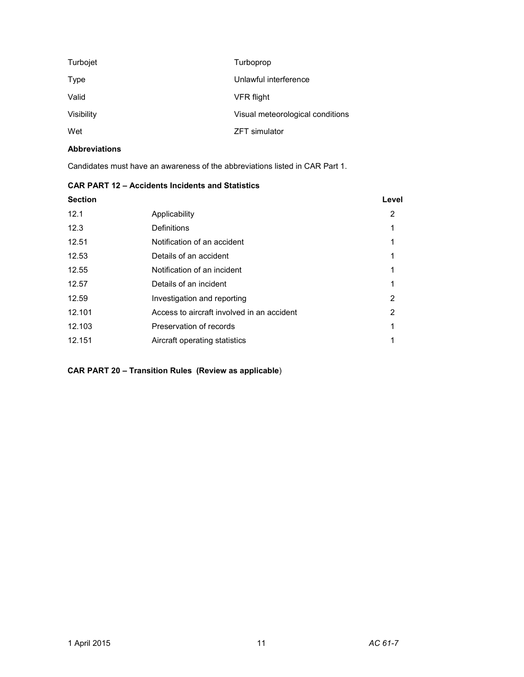| Turbojet   | Turboprop                        |
|------------|----------------------------------|
| Type       | Unlawful interference            |
| Valid      | VFR flight                       |
| Visibility | Visual meteorological conditions |
| Wet        | <b>ZFT</b> simulator             |

# **Abbreviations**

Candidates must have an awareness of the abbreviations listed in CAR Part 1.

### **CAR PART 12 – Accidents Incidents and Statistics**

| <b>Section</b> |                                            | Level |
|----------------|--------------------------------------------|-------|
| 12.1           | Applicability                              | 2     |
| 12.3           | Definitions                                | 1     |
| 12.51          | Notification of an accident                |       |
| 12.53          | Details of an accident                     |       |
| 12.55          | Notification of an incident                | 1     |
| 12.57          | Details of an incident                     |       |
| 12.59          | Investigation and reporting                | 2     |
| 12.101         | Access to aircraft involved in an accident | 2     |
| 12.103         | Preservation of records                    | 1     |
| 12.151         | Aircraft operating statistics              |       |
|                |                                            |       |

# **CAR PART 20 – Transition Rules (Review as applicable**)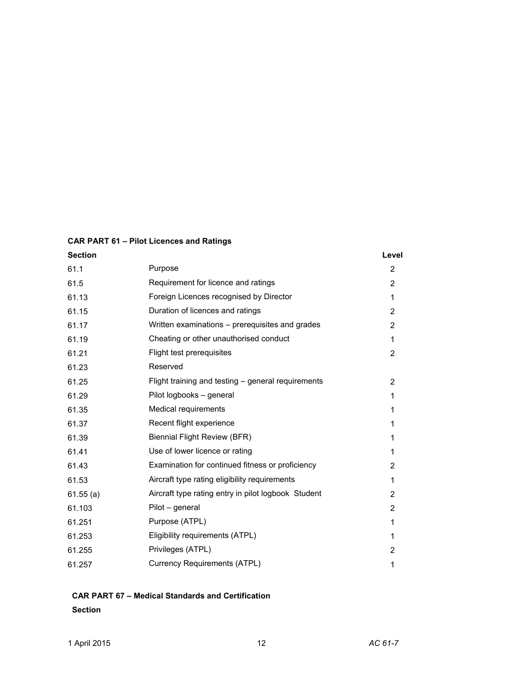# **CAR PART 61 – Pilot Licences and Ratings**

| <b>Section</b> |                                                     | Level          |
|----------------|-----------------------------------------------------|----------------|
| 61.1           | Purpose                                             | $\overline{2}$ |
| 61.5           | Requirement for licence and ratings                 | $\overline{2}$ |
| 61.13          | Foreign Licences recognised by Director             | 1              |
| 61.15          | Duration of licences and ratings                    | $\overline{2}$ |
| 61.17          | Written examinations – prerequisites and grades     | 2              |
| 61.19          | Cheating or other unauthorised conduct              | 1              |
| 61.21          | Flight test prerequisites                           | $\overline{2}$ |
| 61.23          | Reserved                                            |                |
| 61.25          | Flight training and testing – general requirements  | 2              |
| 61.29          | Pilot logbooks - general                            | 1              |
| 61.35          | Medical requirements                                | 1              |
| 61.37          | Recent flight experience                            | 1              |
| 61.39          | <b>Biennial Flight Review (BFR)</b>                 | 1              |
| 61.41          | Use of lower licence or rating                      | 1              |
| 61.43          | Examination for continued fitness or proficiency    | 2              |
| 61.53          | Aircraft type rating eligibility requirements       | 1              |
| 61.55(a)       | Aircraft type rating entry in pilot logbook Student | $\overline{2}$ |
| 61.103         | Pilot - general                                     | 2              |
| 61.251         | Purpose (ATPL)                                      | 1              |
| 61.253         | Eligibility requirements (ATPL)                     | 1              |
| 61.255         | Privileges (ATPL)                                   | 2              |
| 61.257         | <b>Currency Requirements (ATPL)</b>                 | 1              |

# **CAR PART 67 – Medical Standards and Certification Section**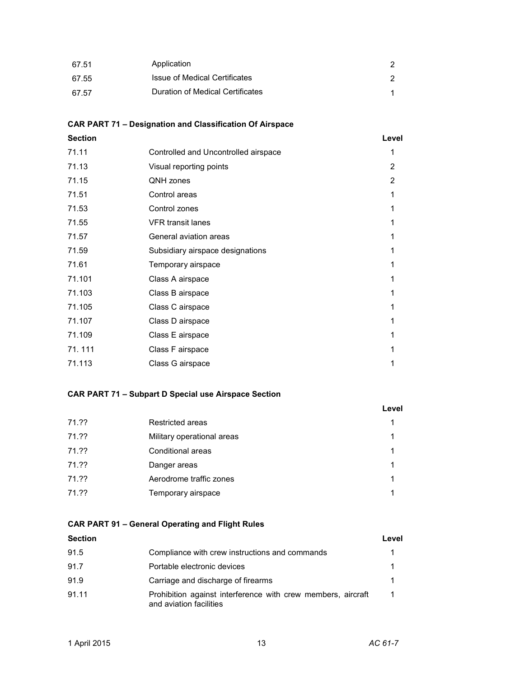| 67.51 | Application                      |  |
|-------|----------------------------------|--|
| 67.55 | Issue of Medical Certificates    |  |
| 67.57 | Duration of Medical Certificates |  |

# **CAR PART 71 – Designation and Classification Of Airspace**

| <b>Section</b> |                                      | Level |
|----------------|--------------------------------------|-------|
| 71.11          | Controlled and Uncontrolled airspace | 1     |
| 71.13          | Visual reporting points              | 2     |
| 71.15          | QNH zones                            | 2     |
| 71.51          | Control areas                        | 1     |
| 71.53          | Control zones                        |       |
| 71.55          | <b>VFR</b> transit lanes             | 1     |
| 71.57          | General aviation areas               | 1     |
| 71.59          | Subsidiary airspace designations     | 1     |
| 71.61          | Temporary airspace                   | 1     |
| 71.101         | Class A airspace                     | 1     |
| 71.103         | Class B airspace                     | 1     |
| 71.105         | Class C airspace                     | 1     |
| 71.107         | Class D airspace                     | 1     |
| 71.109         | Class E airspace                     | 1     |
| 71.111         | Class F airspace                     | 1     |
| 71.113         | Class G airspace                     | 1     |
|                |                                      |       |

# **CAR PART 71 – Subpart D Special use Airspace Section**

|       |                            | Level |
|-------|----------------------------|-------|
| 71.?? | Restricted areas           | 1     |
| 71.?? | Military operational areas |       |
| 71.?? | Conditional areas          | 1     |
| 71.?? | Danger areas               | 1     |
| 71.?? | Aerodrome traffic zones    | 1     |
| 71.?? | Temporary airspace         |       |

# **CAR PART 91 – General Operating and Flight Rules**

| <b>Section</b> |                                                                                         | Level |
|----------------|-----------------------------------------------------------------------------------------|-------|
| 91.5           | Compliance with crew instructions and commands                                          |       |
| 91.7           | Portable electronic devices                                                             |       |
| 91.9           | Carriage and discharge of firearms                                                      |       |
| 91.11          | Prohibition against interference with crew members, aircraft<br>and aviation facilities |       |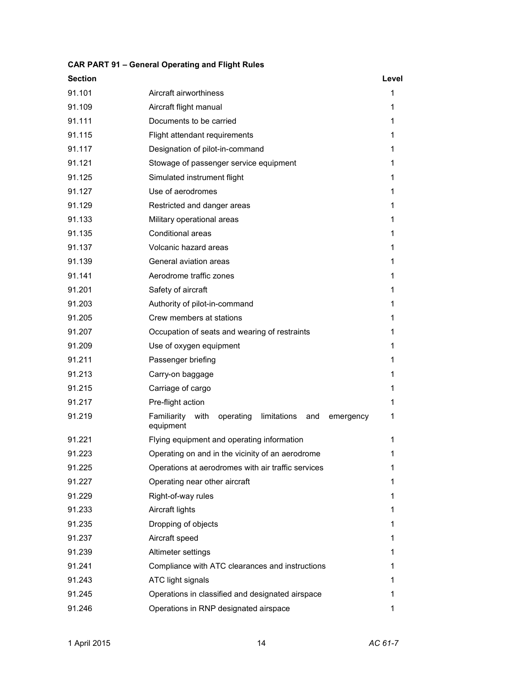| <b>Section</b> |                                                                               | Level |
|----------------|-------------------------------------------------------------------------------|-------|
| 91.101         | Aircraft airworthiness                                                        | 1     |
| 91.109         | Aircraft flight manual                                                        | 1     |
| 91.111         | Documents to be carried                                                       | 1     |
| 91.115         | Flight attendant requirements                                                 | 1     |
| 91.117         | Designation of pilot-in-command                                               | 1     |
| 91.121         | Stowage of passenger service equipment                                        | 1     |
| 91.125         | Simulated instrument flight                                                   | 1     |
| 91.127         | Use of aerodromes                                                             | 1     |
| 91.129         | Restricted and danger areas                                                   | 1     |
| 91.133         | Military operational areas                                                    | 1     |
| 91.135         | Conditional areas                                                             | 1     |
| 91.137         | Volcanic hazard areas                                                         | 1     |
| 91.139         | General aviation areas                                                        | 1     |
| 91.141         | Aerodrome traffic zones                                                       | 1     |
| 91.201         | Safety of aircraft                                                            | 1     |
| 91.203         | Authority of pilot-in-command                                                 | 1     |
| 91.205         | Crew members at stations                                                      | 1     |
| 91.207         | Occupation of seats and wearing of restraints                                 | 1     |
| 91.209         | Use of oxygen equipment                                                       | 1     |
| 91.211         | Passenger briefing                                                            | 1     |
| 91.213         | Carry-on baggage                                                              | 1     |
| 91.215         | Carriage of cargo                                                             | 1     |
| 91.217         | Pre-flight action                                                             | 1     |
| 91.219         | Familiarity<br>with<br>operating limitations<br>and<br>emergency<br>equipment | 1     |
| 91.221         | Flying equipment and operating information                                    | 1     |
| 91.223         | Operating on and in the vicinity of an aerodrome                              | 1     |
| 91.225         | Operations at aerodromes with air traffic services                            | 1     |
| 91.227         | Operating near other aircraft                                                 | 1     |
| 91.229         | Right-of-way rules                                                            | 1     |
| 91.233         | Aircraft lights                                                               | 1     |
| 91.235         | Dropping of objects                                                           | 1     |
| 91.237         | Aircraft speed                                                                | 1     |
| 91.239         | Altimeter settings                                                            | 1     |
| 91.241         | Compliance with ATC clearances and instructions                               | 1     |
| 91.243         | ATC light signals                                                             | 1     |
| 91.245         | Operations in classified and designated airspace                              | 1     |
| 91.246         | Operations in RNP designated airspace                                         | 1     |

# **CAR PART 91 – General Operating and Flight Rules**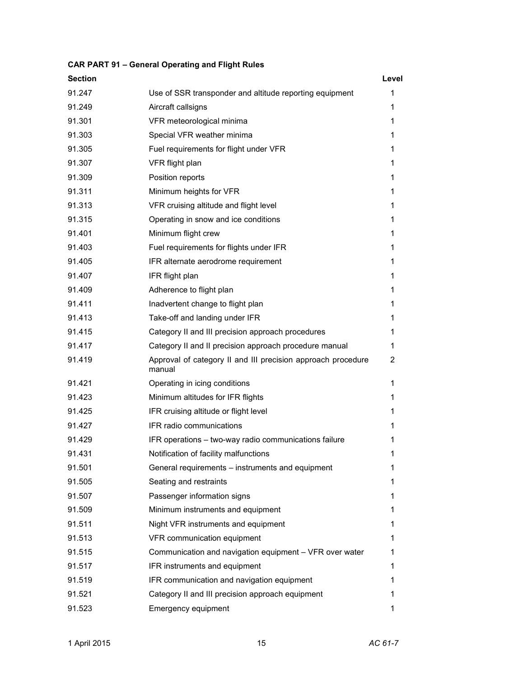| <b>Section</b> |                                                                        | Level |
|----------------|------------------------------------------------------------------------|-------|
| 91.247         | Use of SSR transponder and altitude reporting equipment                | 1     |
| 91.249         | Aircraft callsigns                                                     | 1     |
| 91.301         | VFR meteorological minima                                              | 1     |
| 91.303         | Special VFR weather minima                                             | 1     |
| 91.305         | Fuel requirements for flight under VFR                                 | 1     |
| 91.307         | VFR flight plan                                                        | 1     |
| 91.309         | Position reports                                                       | 1     |
| 91.311         | Minimum heights for VFR                                                | 1     |
| 91.313         | VFR cruising altitude and flight level                                 | 1     |
| 91.315         | Operating in snow and ice conditions                                   | 1     |
| 91.401         | Minimum flight crew                                                    | 1     |
| 91.403         | Fuel requirements for flights under IFR                                | 1     |
| 91.405         | IFR alternate aerodrome requirement                                    | 1     |
| 91.407         | IFR flight plan                                                        | 1     |
| 91.409         | Adherence to flight plan                                               | 1     |
| 91.411         | Inadvertent change to flight plan                                      | 1     |
| 91.413         | Take-off and landing under IFR                                         | 1     |
| 91.415         | Category II and III precision approach procedures                      | 1     |
| 91.417         | Category II and II precision approach procedure manual                 | 1     |
| 91.419         | Approval of category II and III precision approach procedure<br>manual | 2     |
| 91.421         | Operating in icing conditions                                          | 1     |
| 91.423         | Minimum altitudes for IFR flights                                      | 1     |
| 91.425         | IFR cruising altitude or flight level                                  | 1     |
| 91.427         | IFR radio communications                                               | 1     |
| 91.429         | IFR operations - two-way radio communications failure                  | 1     |
| 91.431         | Notification of facility malfunctions                                  | 1     |
| 91.501         | General requirements – instruments and equipment                       | 1     |
| 91.505         | Seating and restraints                                                 | 1     |
| 91.507         | Passenger information signs                                            | 1     |
| 91.509         | Minimum instruments and equipment                                      | 1     |
| 91.511         | Night VFR instruments and equipment                                    | 1     |
| 91.513         | VFR communication equipment                                            | 1     |
| 91.515         | Communication and navigation equipment - VFR over water                | 1     |
| 91.517         | IFR instruments and equipment                                          | 1     |
| 91.519         | IFR communication and navigation equipment                             | 1     |
| 91.521         | Category II and III precision approach equipment                       | 1     |
| 91.523         | Emergency equipment                                                    | 1     |

# **CAR PART 91 – General Operating and Flight Rules**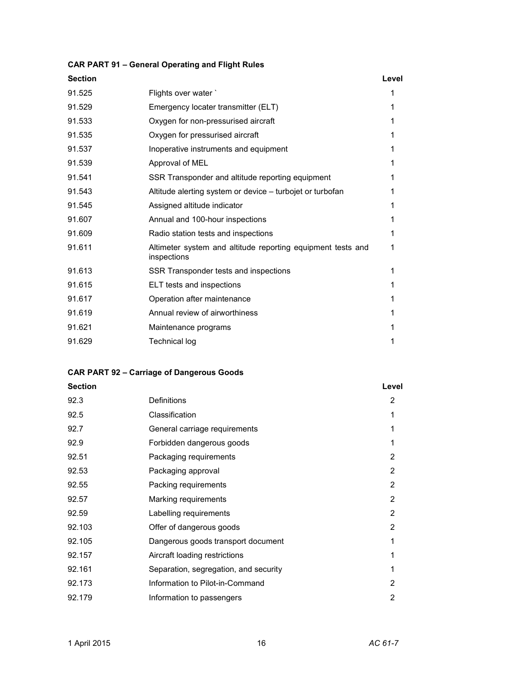#### **CAR PART 91 – General Operating and Flight Rules**

| <b>Section</b> |                                                                            | Level |
|----------------|----------------------------------------------------------------------------|-------|
| 91.525         | Flights over water                                                         |       |
| 91.529         | Emergency locater transmitter (ELT)                                        | 1     |
| 91.533         | Oxygen for non-pressurised aircraft                                        |       |
| 91.535         | Oxygen for pressurised aircraft                                            | 1     |
| 91.537         | Inoperative instruments and equipment                                      | 1     |
| 91.539         | Approval of MEL                                                            | 1     |
| 91.541         | SSR Transponder and altitude reporting equipment                           | 1     |
| 91.543         | Altitude alerting system or device – turbojet or turbofan                  |       |
| 91.545         | Assigned altitude indicator                                                | 1     |
| 91.607         | Annual and 100-hour inspections                                            | 1     |
| 91.609         | Radio station tests and inspections                                        | 1     |
| 91.611         | Altimeter system and altitude reporting equipment tests and<br>inspections | 1     |
| 91.613         | SSR Transponder tests and inspections                                      | 1     |
| 91.615         | ELT tests and inspections                                                  | 1     |
| 91.617         | Operation after maintenance                                                |       |
| 91.619         | Annual review of airworthiness                                             | 1     |
| 91.621         | Maintenance programs                                                       | 1     |
| 91.629         | <b>Technical log</b>                                                       |       |
|                |                                                                            |       |

#### **CAR PART 92 – Carriage of Dangerous Goods**

# **Section Level** 92.3 Definitions 2 92.5 Classification 1 92.7 General carriage requirements 1 92.9 Forbidden dangerous goods 1 92.51 Packaging requirements 2 92.53 Packaging approval 2 92.55 Packing requirements 2 92.57 Marking requirements 2 92.59 Labelling requirements 2 92.103 Offer of dangerous goods 2 92.105 Dangerous goods transport document 1 92.157 Aircraft loading restrictions 1 92.161 Separation, segregation, and security 1 92.173 Information to Pilot-in-Command 2 92.179 Information to passengers 2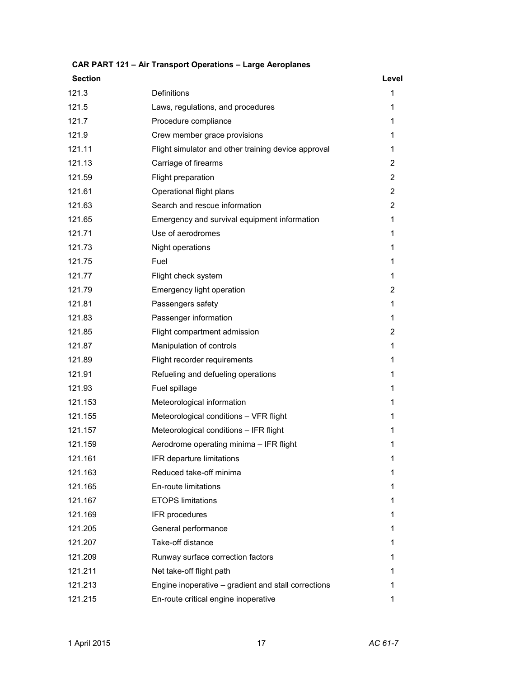| <b>Section</b> |                                                     | Level          |
|----------------|-----------------------------------------------------|----------------|
| 121.3          | Definitions                                         | 1              |
| 121.5          | Laws, regulations, and procedures                   | 1              |
| 121.7          | Procedure compliance                                | 1              |
| 121.9          | Crew member grace provisions                        | 1              |
| 121.11         | Flight simulator and other training device approval | 1              |
| 121.13         | Carriage of firearms                                | 2              |
| 121.59         | Flight preparation                                  | $\overline{2}$ |
| 121.61         | Operational flight plans                            | 2              |
| 121.63         | Search and rescue information                       | $\overline{2}$ |
| 121.65         | Emergency and survival equipment information        | 1              |
| 121.71         | Use of aerodromes                                   | 1              |
| 121.73         | Night operations                                    | 1              |
| 121.75         | Fuel                                                | 1              |
| 121.77         | Flight check system                                 | 1              |
| 121.79         | Emergency light operation                           | 2              |
| 121.81         | Passengers safety                                   | 1              |
| 121.83         | Passenger information                               | 1              |
| 121.85         | Flight compartment admission                        | 2              |
| 121.87         | Manipulation of controls                            | 1              |
| 121.89         | Flight recorder requirements                        | 1              |
| 121.91         | Refueling and defueling operations                  | 1              |
| 121.93         | Fuel spillage                                       | 1              |
| 121.153        | Meteorological information                          | 1              |
| 121.155        | Meteorological conditions - VFR flight              | 1              |
| 121.157        | Meteorological conditions - IFR flight              | 1              |
| 121.159        | Aerodrome operating minima - IFR flight             | 1              |
| 121.161        | IFR departure limitations                           | 1              |
| 121.163        | Reduced take-off minima                             | 1              |
| 121.165        | En-route limitations                                | 1              |
| 121.167        | <b>ETOPS limitations</b>                            | 1              |
| 121.169        | IFR procedures                                      | 1              |
| 121.205        | General performance                                 | 1              |
| 121.207        | Take-off distance                                   | 1              |
| 121.209        | Runway surface correction factors                   | 1              |
| 121.211        | Net take-off flight path                            | 1              |
| 121.213        | Engine inoperative – gradient and stall corrections | 1              |
| 121.215        | En-route critical engine inoperative                | 1              |

# **CAR PART 121 – Air Transport Operations – Large Aeroplanes**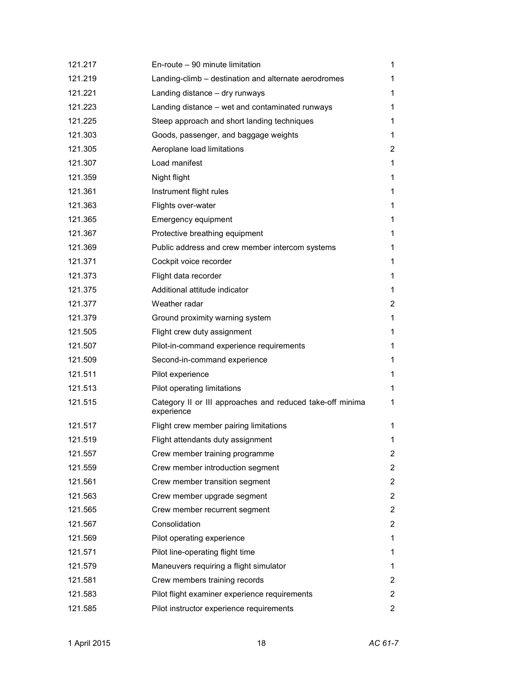| 121.217 | En-route - 90 minute limitation                                         | 1              |
|---------|-------------------------------------------------------------------------|----------------|
| 121.219 | Landing-climb - destination and alternate aerodromes                    | 1              |
| 121.221 | Landing distance - dry runways                                          | 1              |
| 121.223 | Landing distance – wet and contaminated runways                         | 1              |
| 121.225 | Steep approach and short landing techniques                             | 1              |
| 121.303 | Goods, passenger, and baggage weights                                   | 1              |
| 121.305 | Aeroplane load limitations                                              | 2              |
| 121.307 | Load manifest                                                           | 1              |
| 121.359 | Night flight                                                            | 1              |
| 121.361 | Instrument flight rules                                                 | 1              |
| 121.363 | Flights over-water                                                      | 1              |
| 121.365 | Emergency equipment                                                     | 1.             |
| 121.367 | Protective breathing equipment                                          | 1              |
| 121.369 | Public address and crew member intercom systems                         | 1              |
| 121.371 | Cockpit voice recorder                                                  | 1              |
| 121.373 | Flight data recorder                                                    | 1              |
| 121.375 | Additional attitude indicator                                           | 1              |
| 121.377 | Weather radar                                                           | 2              |
| 121.379 | Ground proximity warning system                                         | 1              |
| 121.505 | Flight crew duty assignment                                             | 1              |
| 121.507 | Pilot-in-command experience requirements                                | 1              |
| 121.509 | Second-in-command experience                                            | 1              |
| 121.511 | Pilot experience                                                        | 1              |
| 121.513 | Pilot operating limitations                                             | 1              |
| 121.515 | Category II or III approaches and reduced take-off minima<br>experience | 1              |
| 121.517 | Flight crew member pairing limitations                                  | 1              |
| 121.519 | Flight attendants duty assignment                                       | 1              |
| 121.557 | Crew member training programme                                          | 2              |
| 121.559 | Crew member introduction segment                                        | 2              |
| 121.561 | Crew member transition segment                                          | 2              |
| 121.563 | Crew member upgrade segment                                             | 2              |
| 121.565 | Crew member recurrent segment                                           | $\overline{2}$ |
| 121.567 | Consolidation                                                           | 2              |
| 121.569 | Pilot operating experience                                              | 1              |
| 121.571 | Pilot line-operating flight time                                        | 1              |
| 121.579 | Maneuvers requiring a flight simulator                                  | 1              |
| 121.581 | Crew members training records                                           | 2              |
| 121.583 | Pilot flight examiner experience requirements                           | 2              |
| 121.585 | Pilot instructor experience requirements                                | 2              |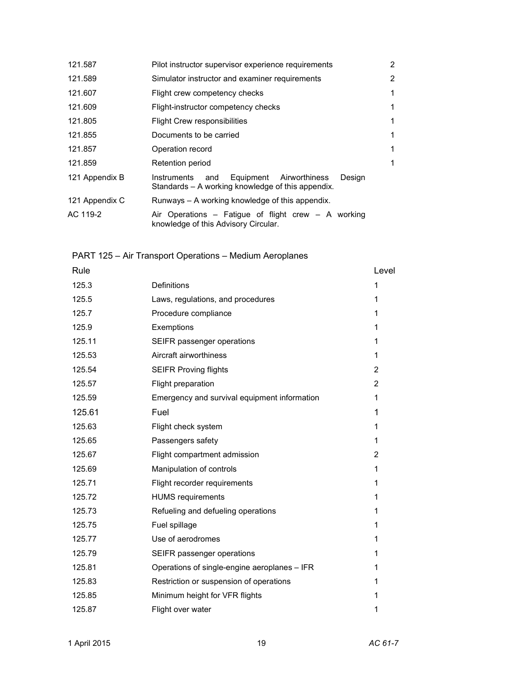| 121.587        | Pilot instructor supervisor experience requirements                                                             | $\overline{2}$ |
|----------------|-----------------------------------------------------------------------------------------------------------------|----------------|
| 121.589        | Simulator instructor and examiner requirements                                                                  | $\overline{2}$ |
| 121.607        | Flight crew competency checks                                                                                   | 1              |
| 121.609        | Flight-instructor competency checks                                                                             | 1              |
| 121.805        | <b>Flight Crew responsibilities</b>                                                                             | 1              |
| 121.855        | Documents to be carried                                                                                         | 1              |
| 121.857        | Operation record                                                                                                | 1              |
| 121.859        | Retention period                                                                                                | 1              |
| 121 Appendix B | Equipment<br>Airworthiness<br>Design<br>Instruments<br>and<br>Standards – A working knowledge of this appendix. |                |
| 121 Appendix C | Runways – A working knowledge of this appendix.                                                                 |                |
| AC 119-2       | Air Operations – Fatigue of flight crew – A working<br>knowledge of this Advisory Circular.                     |                |

PART 125 – Air Transport Operations – Medium Aeroplanes

| Rule   |                                              | Level          |
|--------|----------------------------------------------|----------------|
| 125.3  | Definitions                                  | 1              |
| 125.5  | Laws, regulations, and procedures            | 1              |
| 125.7  | Procedure compliance                         | 1              |
| 125.9  | Exemptions                                   | 1              |
| 125.11 | SEIFR passenger operations                   | 1              |
| 125.53 | Aircraft airworthiness                       | 1              |
| 125.54 | <b>SEIFR Proving flights</b>                 | 2              |
| 125.57 | Flight preparation                           | $\overline{2}$ |
| 125.59 | Emergency and survival equipment information | 1              |
| 125.61 | Fuel                                         | 1              |
| 125.63 | Flight check system                          | 1              |
| 125.65 | Passengers safety                            | 1              |
| 125.67 | Flight compartment admission                 | 2              |
| 125.69 | Manipulation of controls                     | 1              |
| 125.71 | Flight recorder requirements                 | 1              |
| 125.72 | <b>HUMS</b> requirements                     | 1              |
| 125.73 | Refueling and defueling operations           | 1              |
| 125.75 | Fuel spillage                                | 1              |
| 125.77 | Use of aerodromes                            | 1              |
| 125.79 | SEIFR passenger operations                   | 1              |
| 125.81 | Operations of single-engine aeroplanes - IFR | 1              |
| 125.83 | Restriction or suspension of operations      | 1              |
| 125.85 | Minimum height for VFR flights               | 1              |
| 125.87 | Flight over water                            | 1              |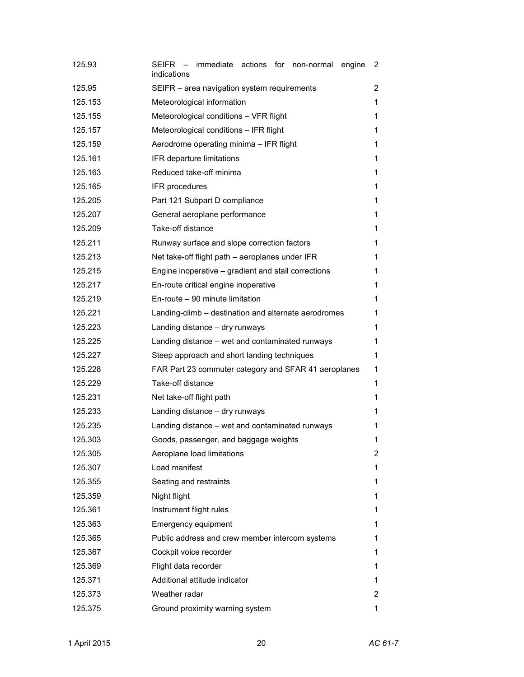| 125.93  | SEIFR – immediate actions for non-normal<br>engine<br>indications | 2 |
|---------|-------------------------------------------------------------------|---|
| 125.95  | SEIFR - area navigation system requirements                       | 2 |
| 125.153 | Meteorological information                                        | 1 |
| 125.155 | Meteorological conditions - VFR flight                            | 1 |
| 125.157 | Meteorological conditions - IFR flight                            | 1 |
| 125.159 | Aerodrome operating minima - IFR flight                           | 1 |
| 125.161 | IFR departure limitations                                         | 1 |
| 125.163 | Reduced take-off minima                                           | 1 |
| 125.165 | IFR procedures                                                    | 1 |
| 125.205 | Part 121 Subpart D compliance                                     | 1 |
| 125.207 | General aeroplane performance                                     | 1 |
| 125.209 | Take-off distance                                                 | 1 |
| 125.211 | Runway surface and slope correction factors                       | 1 |
| 125.213 | Net take-off flight path – aeroplanes under IFR                   | 1 |
| 125.215 | Engine inoperative – gradient and stall corrections               | 1 |
| 125.217 | En-route critical engine inoperative                              | 1 |
| 125.219 | En-route - 90 minute limitation                                   | 1 |
| 125.221 | Landing-climb - destination and alternate aerodromes              | 1 |
| 125.223 | Landing distance - dry runways                                    | 1 |
| 125.225 | Landing distance – wet and contaminated runways                   | 1 |
| 125.227 | Steep approach and short landing techniques                       | 1 |
| 125.228 | FAR Part 23 commuter category and SFAR 41 aeroplanes              | 1 |
| 125.229 | Take-off distance                                                 | 1 |
| 125.231 | Net take-off flight path                                          | 1 |
| 125.233 | Landing distance - dry runways                                    | 1 |
| 125.235 | Landing distance - wet and contaminated runways                   | 1 |
| 125.303 | Goods, passenger, and baggage weights                             | 1 |
| 125.305 | Aeroplane load limitations                                        | 2 |
| 125.307 | Load manifest                                                     | 1 |
| 125.355 | Seating and restraints                                            | 1 |
| 125.359 | Night flight                                                      | 1 |
| 125.361 | Instrument flight rules                                           | 1 |
| 125.363 | Emergency equipment                                               | 1 |
| 125.365 | Public address and crew member intercom systems                   | 1 |
| 125.367 | Cockpit voice recorder                                            | 1 |
| 125.369 | Flight data recorder                                              | 1 |
| 125.371 | Additional attitude indicator                                     | 1 |
| 125.373 | Weather radar                                                     | 2 |
| 125.375 | Ground proximity warning system                                   | 1 |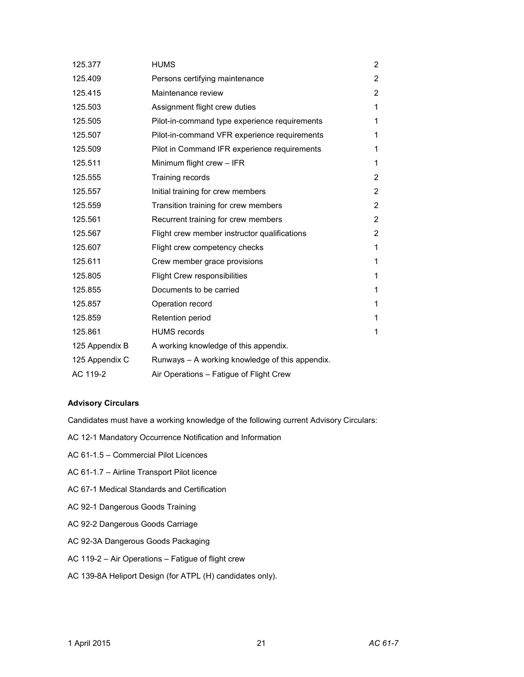| 125.377        | <b>HUMS</b>                                     | $\overline{2}$ |
|----------------|-------------------------------------------------|----------------|
| 125.409        | Persons certifying maintenance                  | $\overline{2}$ |
| 125.415        | Maintenance review                              | $\overline{2}$ |
| 125.503        | Assignment flight crew duties                   | 1              |
| 125.505        | Pilot-in-command type experience requirements   | 1              |
| 125.507        | Pilot-in-command VFR experience requirements    | 1              |
| 125.509        | Pilot in Command IFR experience requirements    | 1              |
| 125.511        | Minimum flight crew - IFR                       | 1              |
| 125.555        | Training records                                | $\overline{2}$ |
| 125.557        | Initial training for crew members               | $\overline{2}$ |
| 125.559        | Transition training for crew members            | $\overline{2}$ |
| 125.561        | Recurrent training for crew members             | $\overline{2}$ |
| 125.567        | Flight crew member instructor qualifications    | $\overline{2}$ |
| 125.607        | Flight crew competency checks                   | 1              |
| 125.611        | Crew member grace provisions                    | 1              |
| 125.805        | <b>Flight Crew responsibilities</b>             | 1              |
| 125.855        | Documents to be carried                         | 1              |
| 125.857        | Operation record                                | 1              |
| 125.859        | Retention period                                | 1              |
| 125.861        | <b>HUMS</b> records                             | 1              |
| 125 Appendix B | A working knowledge of this appendix.           |                |
| 125 Appendix C | Runways - A working knowledge of this appendix. |                |
| AC 119-2       | Air Operations - Fatigue of Flight Crew         |                |

# **Advisory Circulars**

Candidates must have a working knowledge of the following current Advisory Circulars:

- AC 12-1 Mandatory Occurrence Notification and Information
- AC 61-1.5 Commercial Pilot Licences
- AC 61-1.7 Airline Transport Pilot licence
- AC 67-1 Medical Standards and Certification
- AC 92-1 Dangerous Goods Training
- AC 92-2 Dangerous Goods Carriage
- AC 92-3A Dangerous Goods Packaging
- AC 119-2 Air Operations Fatigue of flight crew
- AC 139-8A Heliport Design (for ATPL (H) candidates only).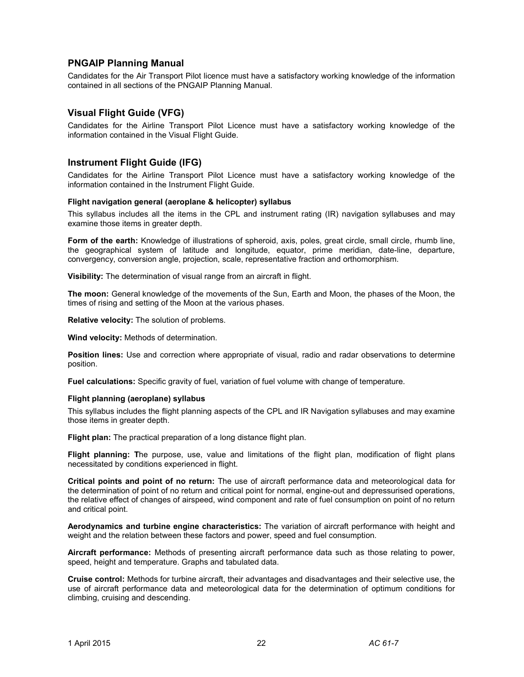# **PNGAIP Planning Manual**

Candidates for the Air Transport Pilot licence must have a satisfactory working knowledge of the information contained in all sections of the PNGAIP Planning Manual.

# **Visual Flight Guide (VFG)**

Candidates for the Airline Transport Pilot Licence must have a satisfactory working knowledge of the information contained in the Visual Flight Guide.

# **Instrument Flight Guide (IFG)**

Candidates for the Airline Transport Pilot Licence must have a satisfactory working knowledge of the information contained in the Instrument Flight Guide.

#### **Flight navigation general (aeroplane & helicopter) syllabus**

This syllabus includes all the items in the CPL and instrument rating (IR) navigation syllabuses and may examine those items in greater depth.

**Form of the earth:** Knowledge of illustrations of spheroid, axis, poles, great circle, small circle, rhumb line, the geographical system of latitude and longitude, equator, prime meridian, date-line, departure, convergency, conversion angle, projection, scale, representative fraction and orthomorphism.

**Visibility:** The determination of visual range from an aircraft in flight.

**The moon:** General knowledge of the movements of the Sun, Earth and Moon, the phases of the Moon, the times of rising and setting of the Moon at the various phases.

**Relative velocity:** The solution of problems.

**Wind velocity:** Methods of determination.

**Position lines:** Use and correction where appropriate of visual, radio and radar observations to determine position.

**Fuel calculations:** Specific gravity of fuel, variation of fuel volume with change of temperature.

#### **Flight planning (aeroplane) syllabus**

This syllabus includes the flight planning aspects of the CPL and IR Navigation syllabuses and may examine those items in greater depth.

**Flight plan:** The practical preparation of a long distance flight plan.

**Flight planning: T**he purpose, use, value and limitations of the flight plan, modification of flight plans necessitated by conditions experienced in flight.

**Critical points and point of no return:** The use of aircraft performance data and meteorological data for the determination of point of no return and critical point for normal, engine-out and depressurised operations, the relative effect of changes of airspeed, wind component and rate of fuel consumption on point of no return and critical point.

**Aerodynamics and turbine engine characteristics:** The variation of aircraft performance with height and weight and the relation between these factors and power, speed and fuel consumption.

**Aircraft performance:** Methods of presenting aircraft performance data such as those relating to power, speed, height and temperature. Graphs and tabulated data.

**Cruise control:** Methods for turbine aircraft, their advantages and disadvantages and their selective use, the use of aircraft performance data and meteorological data for the determination of optimum conditions for climbing, cruising and descending.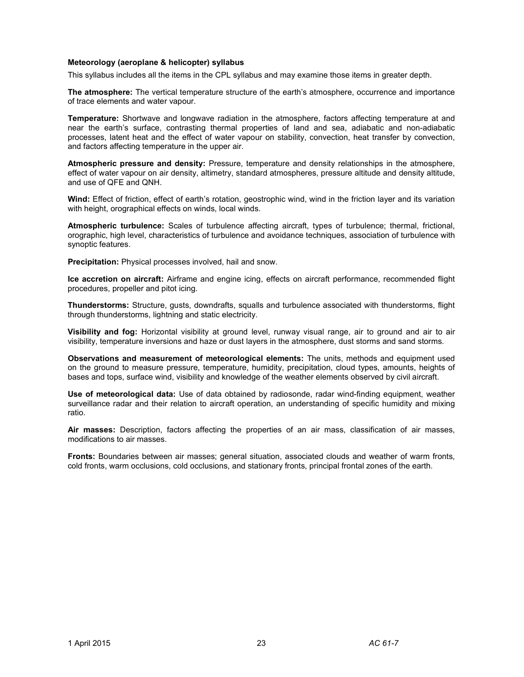#### **Meteorology (aeroplane & helicopter) syllabus**

This syllabus includes all the items in the CPL syllabus and may examine those items in greater depth.

**The atmosphere:** The vertical temperature structure of the earth's atmosphere, occurrence and importance of trace elements and water vapour.

**Temperature:** Shortwave and longwave radiation in the atmosphere, factors affecting temperature at and near the earth's surface, contrasting thermal properties of land and sea, adiabatic and non-adiabatic processes, latent heat and the effect of water vapour on stability, convection, heat transfer by convection, and factors affecting temperature in the upper air.

**Atmospheric pressure and density:** Pressure, temperature and density relationships in the atmosphere, effect of water vapour on air density, altimetry, standard atmospheres, pressure altitude and density altitude, and use of QFE and QNH.

**Wind:** Effect of friction, effect of earth's rotation, geostrophic wind, wind in the friction layer and its variation with height, orographical effects on winds, local winds.

**Atmospheric turbulence:** Scales of turbulence affecting aircraft, types of turbulence; thermal, frictional, orographic, high level, characteristics of turbulence and avoidance techniques, association of turbulence with synoptic features.

**Precipitation:** Physical processes involved, hail and snow.

**Ice accretion on aircraft:** Airframe and engine icing, effects on aircraft performance, recommended flight procedures, propeller and pitot icing.

**Thunderstorms:** Structure, gusts, downdrafts, squalls and turbulence associated with thunderstorms, flight through thunderstorms, lightning and static electricity.

**Visibility and fog:** Horizontal visibility at ground level, runway visual range, air to ground and air to air visibility, temperature inversions and haze or dust layers in the atmosphere, dust storms and sand storms.

**Observations and measurement of meteorological elements:** The units, methods and equipment used on the ground to measure pressure, temperature, humidity, precipitation, cloud types, amounts, heights of bases and tops, surface wind, visibility and knowledge of the weather elements observed by civil aircraft.

**Use of meteorological data:** Use of data obtained by radiosonde, radar wind-finding equipment, weather surveillance radar and their relation to aircraft operation, an understanding of specific humidity and mixing ratio.

**Air masses:** Description, factors affecting the properties of an air mass, classification of air masses, modifications to air masses.

**Fronts:** Boundaries between air masses; general situation, associated clouds and weather of warm fronts, cold fronts, warm occlusions, cold occlusions, and stationary fronts, principal frontal zones of the earth.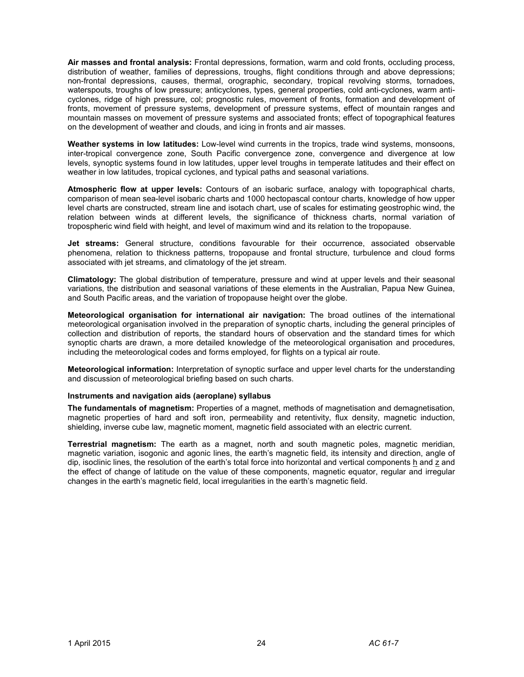**Air masses and frontal analysis:** Frontal depressions, formation, warm and cold fronts, occluding process, distribution of weather, families of depressions, troughs, flight conditions through and above depressions; non-frontal depressions, causes, thermal, orographic, secondary, tropical revolving storms, tornadoes, waterspouts, troughs of low pressure; anticyclones, types, general properties, cold anti-cyclones, warm anticyclones, ridge of high pressure, col; prognostic rules, movement of fronts, formation and development of fronts, movement of pressure systems, development of pressure systems, effect of mountain ranges and mountain masses on movement of pressure systems and associated fronts; effect of topographical features on the development of weather and clouds, and icing in fronts and air masses.

**Weather systems in low latitudes:** Low-level wind currents in the tropics, trade wind systems, monsoons, inter-tropical convergence zone, South Pacific convergence zone, convergence and divergence at low levels, synoptic systems found in low latitudes, upper level troughs in temperate latitudes and their effect on weather in low latitudes, tropical cyclones, and typical paths and seasonal variations.

**Atmospheric flow at upper levels:** Contours of an isobaric surface, analogy with topographical charts, comparison of mean sea-level isobaric charts and 1000 hectopascal contour charts, knowledge of how upper level charts are constructed, stream line and isotach chart, use of scales for estimating geostrophic wind, the relation between winds at different levels, the significance of thickness charts, normal variation of tropospheric wind field with height, and level of maximum wind and its relation to the tropopause.

**Jet streams:** General structure, conditions favourable for their occurrence, associated observable phenomena, relation to thickness patterns, tropopause and frontal structure, turbulence and cloud forms associated with jet streams, and climatology of the jet stream.

**Climatology:** The global distribution of temperature, pressure and wind at upper levels and their seasonal variations, the distribution and seasonal variations of these elements in the Australian, Papua New Guinea, and South Pacific areas, and the variation of tropopause height over the globe.

**Meteorological organisation for international air navigation:** The broad outlines of the international meteorological organisation involved in the preparation of synoptic charts, including the general principles of collection and distribution of reports, the standard hours of observation and the standard times for which synoptic charts are drawn, a more detailed knowledge of the meteorological organisation and procedures, including the meteorological codes and forms employed, for flights on a typical air route.

**Meteorological information:** Interpretation of synoptic surface and upper level charts for the understanding and discussion of meteorological briefing based on such charts.

#### **Instruments and navigation aids (aeroplane) syllabus**

**The fundamentals of magnetism:** Properties of a magnet, methods of magnetisation and demagnetisation, magnetic properties of hard and soft iron, permeability and retentivity, flux density, magnetic induction, shielding, inverse cube law, magnetic moment, magnetic field associated with an electric current.

**Terrestrial magnetism:** The earth as a magnet, north and south magnetic poles, magnetic meridian, magnetic variation, isogonic and agonic lines, the earth's magnetic field, its intensity and direction, angle of dip, isoclinic lines, the resolution of the earth's total force into horizontal and vertical components h and z and the effect of change of latitude on the value of these components, magnetic equator, regular and irregular changes in the earth's magnetic field, local irregularities in the earth's magnetic field.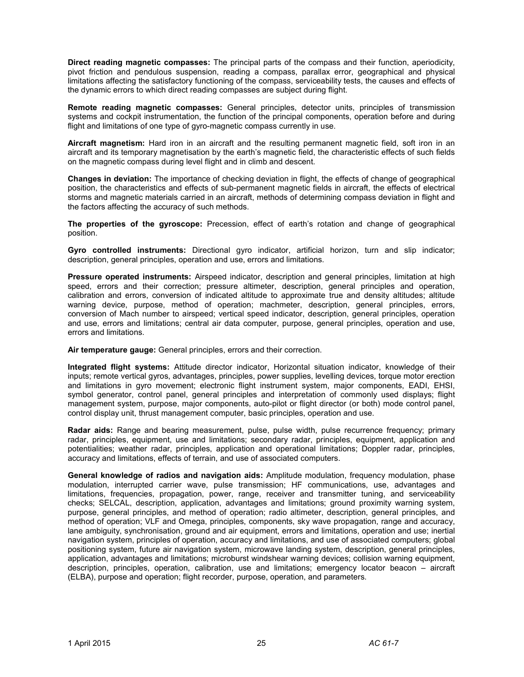**Direct reading magnetic compasses:** The principal parts of the compass and their function, aperiodicity, pivot friction and pendulous suspension, reading a compass, parallax error, geographical and physical limitations affecting the satisfactory functioning of the compass, serviceability tests, the causes and effects of the dynamic errors to which direct reading compasses are subject during flight.

**Remote reading magnetic compasses:** General principles, detector units, principles of transmission systems and cockpit instrumentation, the function of the principal components, operation before and during flight and limitations of one type of gyro-magnetic compass currently in use.

**Aircraft magnetism:** Hard iron in an aircraft and the resulting permanent magnetic field, soft iron in an aircraft and its temporary magnetisation by the earth's magnetic field, the characteristic effects of such fields on the magnetic compass during level flight and in climb and descent.

**Changes in deviation:** The importance of checking deviation in flight, the effects of change of geographical position, the characteristics and effects of sub-permanent magnetic fields in aircraft, the effects of electrical storms and magnetic materials carried in an aircraft, methods of determining compass deviation in flight and the factors affecting the accuracy of such methods.

**The properties of the gyroscope:** Precession, effect of earth's rotation and change of geographical position.

**Gyro controlled instruments:** Directional gyro indicator, artificial horizon, turn and slip indicator; description, general principles, operation and use, errors and limitations.

**Pressure operated instruments:** Airspeed indicator, description and general principles, limitation at high speed, errors and their correction; pressure altimeter, description, general principles and operation, calibration and errors, conversion of indicated altitude to approximate true and density altitudes; altitude warning device, purpose, method of operation; machmeter, description, general principles, errors, conversion of Mach number to airspeed; vertical speed indicator, description, general principles, operation and use, errors and limitations; central air data computer, purpose, general principles, operation and use, errors and limitations.

**Air temperature gauge:** General principles, errors and their correction.

**Integrated flight systems:** Attitude director indicator, Horizontal situation indicator, knowledge of their inputs; remote vertical gyros, advantages, principles, power supplies, levelling devices, torque motor erection and limitations in gyro movement; electronic flight instrument system, major components, EADI, EHSI, symbol generator, control panel, general principles and interpretation of commonly used displays; flight management system, purpose, major components, auto-pilot or flight director (or both) mode control panel, control display unit, thrust management computer, basic principles, operation and use.

**Radar aids:** Range and bearing measurement, pulse, pulse width, pulse recurrence frequency; primary radar, principles, equipment, use and limitations; secondary radar, principles, equipment, application and potentialities; weather radar, principles, application and operational limitations; Doppler radar, principles, accuracy and limitations, effects of terrain, and use of associated computers.

**General knowledge of radios and navigation aids:** Amplitude modulation, frequency modulation, phase modulation, interrupted carrier wave, pulse transmission; HF communications, use, advantages and limitations, frequencies, propagation, power, range, receiver and transmitter tuning, and serviceability checks; SELCAL, description, application, advantages and limitations; ground proximity warning system, purpose, general principles, and method of operation; radio altimeter, description, general principles, and method of operation; VLF and Omega, principles, components, sky wave propagation, range and accuracy, lane ambiguity, synchronisation, ground and air equipment, errors and limitations, operation and use; inertial navigation system, principles of operation, accuracy and limitations, and use of associated computers; global positioning system, future air navigation system, microwave landing system, description, general principles, application, advantages and limitations; microburst windshear warning devices; collision warning equipment, description, principles, operation, calibration, use and limitations; emergency locator beacon – aircraft (ELBA), purpose and operation; flight recorder, purpose, operation, and parameters.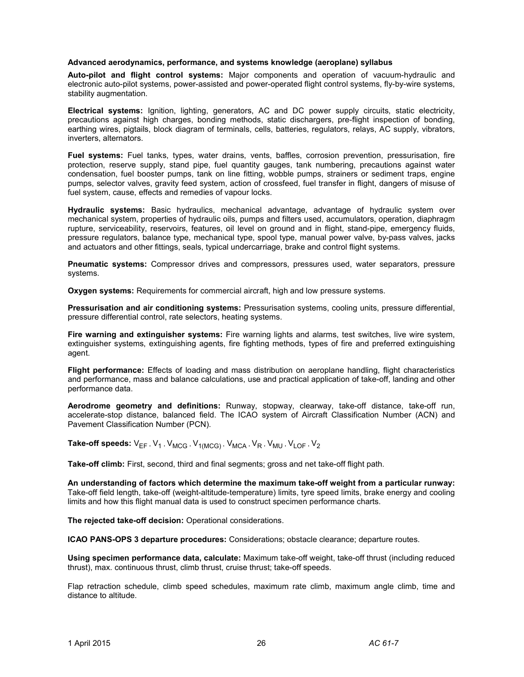#### **Advanced aerodynamics, performance, and systems knowledge (aeroplane) syllabus**

**Auto-pilot and flight control systems:** Major components and operation of vacuum-hydraulic and electronic auto-pilot systems, power-assisted and power-operated flight control systems, fly-by-wire systems, stability augmentation.

**Electrical systems:** Ignition, lighting, generators, AC and DC power supply circuits, static electricity, precautions against high charges, bonding methods, static dischargers, pre-flight inspection of bonding, earthing wires, pigtails, block diagram of terminals, cells, batteries, regulators, relays, AC supply, vibrators, inverters, alternators.

**Fuel systems:** Fuel tanks, types, water drains, vents, baffles, corrosion prevention, pressurisation, fire protection, reserve supply, stand pipe, fuel quantity gauges, tank numbering, precautions against water condensation, fuel booster pumps, tank on line fitting, wobble pumps, strainers or sediment traps, engine pumps, selector valves, gravity feed system, action of crossfeed, fuel transfer in flight, dangers of misuse of fuel system, cause, effects and remedies of vapour locks.

**Hydraulic systems:** Basic hydraulics, mechanical advantage, advantage of hydraulic system over mechanical system, properties of hydraulic oils, pumps and filters used, accumulators, operation, diaphragm rupture, serviceability, reservoirs, features, oil level on ground and in flight, stand-pipe, emergency fluids, pressure regulators, balance type, mechanical type, spool type, manual power valve, by-pass valves, jacks and actuators and other fittings, seals, typical undercarriage, brake and control flight systems.

**Pneumatic systems:** Compressor drives and compressors, pressures used, water separators, pressure systems.

**Oxygen systems:** Requirements for commercial aircraft, high and low pressure systems.

**Pressurisation and air conditioning systems:** Pressurisation systems, cooling units, pressure differential, pressure differential control, rate selectors, heating systems.

**Fire warning and extinguisher systems:** Fire warning lights and alarms, test switches, live wire system, extinguisher systems, extinguishing agents, fire fighting methods, types of fire and preferred extinguishing agent.

**Flight performance:** Effects of loading and mass distribution on aeroplane handling, flight characteristics and performance, mass and balance calculations, use and practical application of take-off, landing and other performance data.

**Aerodrome geometry and definitions:** Runway, stopway, clearway, take-off distance, take-off run, accelerate-stop distance, balanced field. The ICAO system of Aircraft Classification Number (ACN) and Pavement Classification Number (PCN).

 ${\sf Take\text{-}off\text{-}speeds\text{: }V_{\sf EF}}$  ,  ${\sf V}_{\sf 1}$  ,  ${\sf V}_{\sf MCG}$  ,  ${\sf V}_{\sf 1(MCG)}$  ,  ${\sf V}_{\sf MCA}$  ,  ${\sf V}_{\sf R}$  ,  ${\sf V}_{\sf MU}$  ,  ${\sf V}_{\sf LOF}$  ,  ${\sf V}_{\sf 2}$ 

**Take-off climb:** First, second, third and final segments; gross and net take-off flight path.

**An understanding of factors which determine the maximum take-off weight from a particular runway:** Take-off field length, take-off (weight-altitude-temperature) limits, tyre speed limits, brake energy and cooling limits and how this flight manual data is used to construct specimen performance charts.

**The rejected take-off decision:** Operational considerations.

**ICAO PANS-OPS 3 departure procedures:** Considerations; obstacle clearance; departure routes.

**Using specimen performance data, calculate:** Maximum take-off weight, take-off thrust (including reduced thrust), max. continuous thrust, climb thrust, cruise thrust; take-off speeds.

Flap retraction schedule, climb speed schedules, maximum rate climb, maximum angle climb, time and distance to altitude.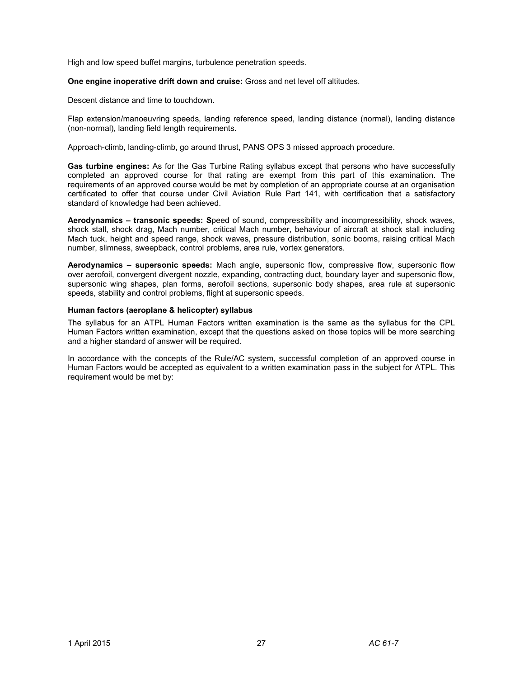High and low speed buffet margins, turbulence penetration speeds.

**One engine inoperative drift down and cruise:** Gross and net level off altitudes.

Descent distance and time to touchdown.

Flap extension/manoeuvring speeds, landing reference speed, landing distance (normal), landing distance (non-normal), landing field length requirements.

Approach-climb, landing-climb, go around thrust, PANS OPS 3 missed approach procedure.

**Gas turbine engines:** As for the Gas Turbine Rating syllabus except that persons who have successfully completed an approved course for that rating are exempt from this part of this examination. The requirements of an approved course would be met by completion of an appropriate course at an organisation certificated to offer that course under Civil Aviation Rule Part 141, with certification that a satisfactory standard of knowledge had been achieved.

**Aerodynamics – transonic speeds: S**peed of sound, compressibility and incompressibility, shock waves, shock stall, shock drag, Mach number, critical Mach number, behaviour of aircraft at shock stall including Mach tuck, height and speed range, shock waves, pressure distribution, sonic booms, raising critical Mach number, slimness, sweepback, control problems, area rule, vortex generators.

**Aerodynamics – supersonic speeds:** Mach angle, supersonic flow, compressive flow, supersonic flow over aerofoil, convergent divergent nozzle, expanding, contracting duct, boundary layer and supersonic flow, supersonic wing shapes, plan forms, aerofoil sections, supersonic body shapes, area rule at supersonic speeds, stability and control problems, flight at supersonic speeds.

#### **Human factors (aeroplane & helicopter) syllabus**

The syllabus for an ATPL Human Factors written examination is the same as the syllabus for the CPL Human Factors written examination, except that the questions asked on those topics will be more searching and a higher standard of answer will be required.

In accordance with the concepts of the Rule/AC system, successful completion of an approved course in Human Factors would be accepted as equivalent to a written examination pass in the subject for ATPL. This requirement would be met by: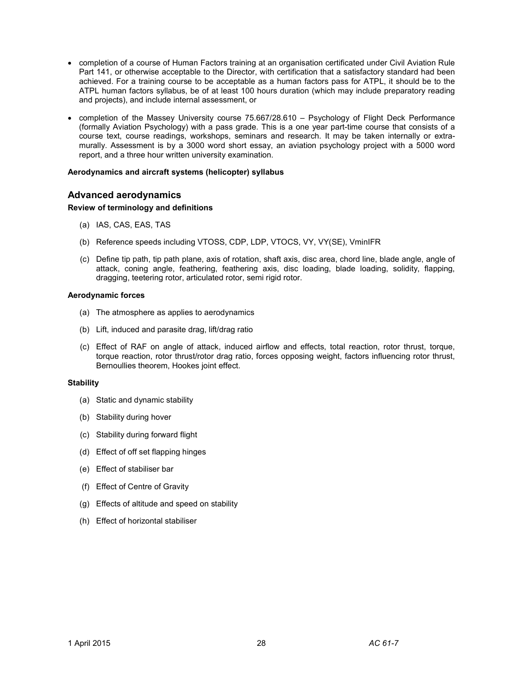- completion of a course of Human Factors training at an organisation certificated under Civil Aviation Rule Part 141, or otherwise acceptable to the Director, with certification that a satisfactory standard had been achieved. For a training course to be acceptable as a human factors pass for ATPL, it should be to the ATPL human factors syllabus, be of at least 100 hours duration (which may include preparatory reading and projects), and include internal assessment, or
- completion of the Massey University course 75.667/28.610 Psychology of Flight Deck Performance (formally Aviation Psychology) with a pass grade. This is a one year part-time course that consists of a course text, course readings, workshops, seminars and research. It may be taken internally or extramurally. Assessment is by a 3000 word short essay, an aviation psychology project with a 5000 word report, and a three hour written university examination.

#### **Aerodynamics and aircraft systems (helicopter) syllabus**

# **Advanced aerodynamics**

#### **Review of terminology and definitions**

- (a) IAS, CAS, EAS, TAS
- (b) Reference speeds including VTOSS, CDP, LDP, VTOCS, VY, VY(SE), VminIFR
- (c) Define tip path, tip path plane, axis of rotation, shaft axis, disc area, chord line, blade angle, angle of attack, coning angle, feathering, feathering axis, disc loading, blade loading, solidity, flapping, dragging, teetering rotor, articulated rotor, semi rigid rotor.

#### **Aerodynamic forces**

- (a) The atmosphere as applies to aerodynamics
- (b) Lift, induced and parasite drag, lift/drag ratio
- (c) Effect of RAF on angle of attack, induced airflow and effects, total reaction, rotor thrust, torque, torque reaction, rotor thrust/rotor drag ratio, forces opposing weight, factors influencing rotor thrust, Bernoullies theorem, Hookes joint effect.

#### **Stability**

- (a) Static and dynamic stability
- (b) Stability during hover
- (c) Stability during forward flight
- (d) Effect of off set flapping hinges
- (e) Effect of stabiliser bar
- (f) Effect of Centre of Gravity
- (g) Effects of altitude and speed on stability
- (h) Effect of horizontal stabiliser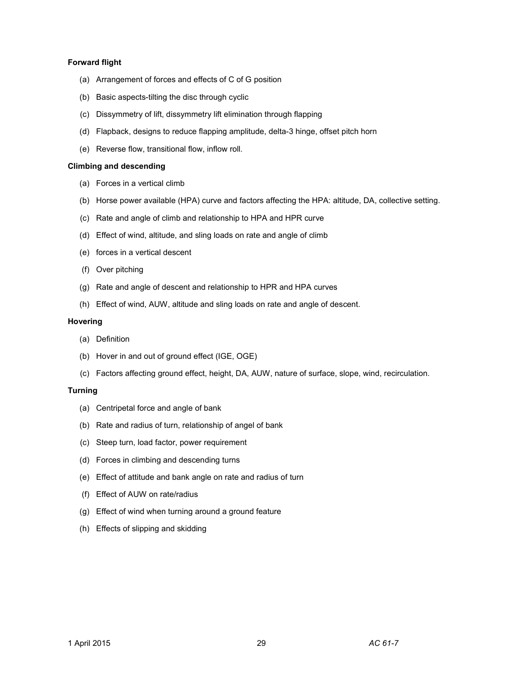#### **Forward flight**

- (a) Arrangement of forces and effects of C of G position
- (b) Basic aspects-tilting the disc through cyclic
- (c) Dissymmetry of lift, dissymmetry lift elimination through flapping
- (d) Flapback, designs to reduce flapping amplitude, delta-3 hinge, offset pitch horn
- (e) Reverse flow, transitional flow, inflow roll.

#### **Climbing and descending**

- (a) Forces in a vertical climb
- (b) Horse power available (HPA) curve and factors affecting the HPA: altitude, DA, collective setting.
- (c) Rate and angle of climb and relationship to HPA and HPR curve
- (d) Effect of wind, altitude, and sling loads on rate and angle of climb
- (e) forces in a vertical descent
- (f) Over pitching
- (g) Rate and angle of descent and relationship to HPR and HPA curves
- (h) Effect of wind, AUW, altitude and sling loads on rate and angle of descent.

#### **Hovering**

- (a) Definition
- (b) Hover in and out of ground effect (IGE, OGE)
- (c) Factors affecting ground effect, height, DA, AUW, nature of surface, slope, wind, recirculation.

#### **Turning**

- (a) Centripetal force and angle of bank
- (b) Rate and radius of turn, relationship of angel of bank
- (c) Steep turn, load factor, power requirement
- (d) Forces in climbing and descending turns
- (e) Effect of attitude and bank angle on rate and radius of turn
- (f) Effect of AUW on rate/radius
- (g) Effect of wind when turning around a ground feature
- (h) Effects of slipping and skidding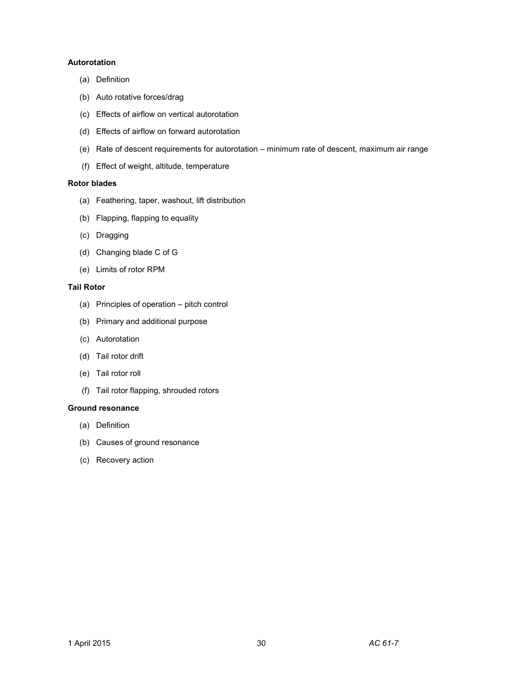# **Autorotation**

- (a) Definition
- (b) Auto rotative forces/drag
- (c) Effects of airflow on vertical autorotation
- (d) Effects of airflow on forward autorotation
- (e) Rate of descent requirements for autorotation minimum rate of descent, maximum air range
- (f) Effect of weight, altitude, temperature

#### **Rotor blades**

- (a) Feathering, taper, washout, lift distribution
- (b) Flapping, flapping to equality
- (c) Dragging
- (d) Changing blade C of G
- (e) Limits of rotor RPM

#### **Tail Rotor**

- (a) Principles of operation pitch control
- (b) Primary and additional purpose
- (c) Autorotation
- (d) Tail rotor drift
- (e) Tail rotor roll
- (f) Tail rotor flapping, shrouded rotors

#### **Ground resonance**

- (a) Definition
- (b) Causes of ground resonance
- (c) Recovery action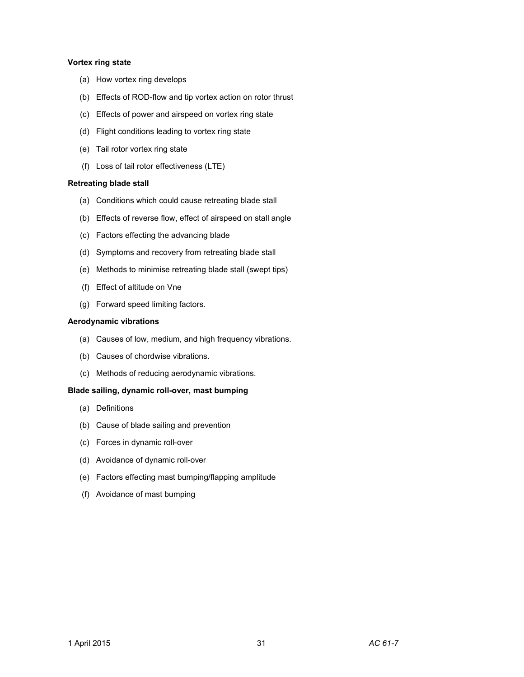#### **Vortex ring state**

- (a) How vortex ring develops
- (b) Effects of ROD-flow and tip vortex action on rotor thrust
- (c) Effects of power and airspeed on vortex ring state
- (d) Flight conditions leading to vortex ring state
- (e) Tail rotor vortex ring state
- (f) Loss of tail rotor effectiveness (LTE)

#### **Retreating blade stall**

- (a) Conditions which could cause retreating blade stall
- (b) Effects of reverse flow, effect of airspeed on stall angle
- (c) Factors effecting the advancing blade
- (d) Symptoms and recovery from retreating blade stall
- (e) Methods to minimise retreating blade stall (swept tips)
- (f) Effect of altitude on Vne
- (g) Forward speed limiting factors.

#### **Aerodynamic vibrations**

- (a) Causes of low, medium, and high frequency vibrations.
- (b) Causes of chordwise vibrations.
- (c) Methods of reducing aerodynamic vibrations.

#### **Blade sailing, dynamic roll-over, mast bumping**

- (a) Definitions
- (b) Cause of blade sailing and prevention
- (c) Forces in dynamic roll-over
- (d) Avoidance of dynamic roll-over
- (e) Factors effecting mast bumping/flapping amplitude
- (f) Avoidance of mast bumping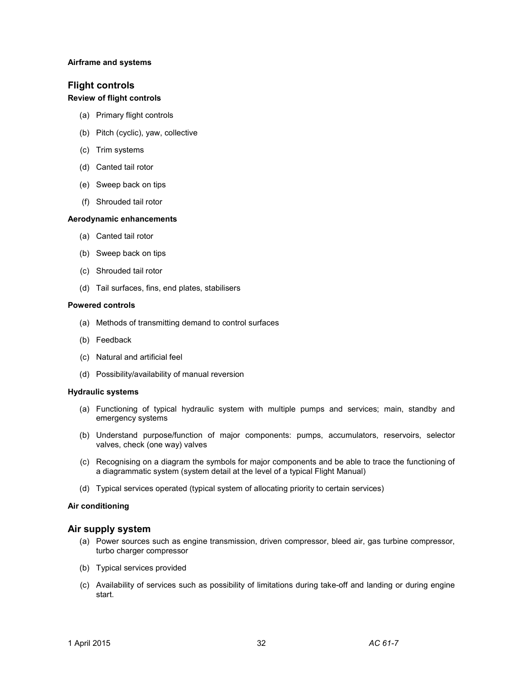#### **Airframe and systems**

# **Flight controls**

# **Review of flight controls**

- (a) Primary flight controls
- (b) Pitch (cyclic), yaw, collective
- (c) Trim systems
- (d) Canted tail rotor
- (e) Sweep back on tips
- (f) Shrouded tail rotor

#### **Aerodynamic enhancements**

- (a) Canted tail rotor
- (b) Sweep back on tips
- (c) Shrouded tail rotor
- (d) Tail surfaces, fins, end plates, stabilisers

#### **Powered controls**

- (a) Methods of transmitting demand to control surfaces
- (b) Feedback
- (c) Natural and artificial feel
- (d) Possibility/availability of manual reversion

#### **Hydraulic systems**

- (a) Functioning of typical hydraulic system with multiple pumps and services; main, standby and emergency systems
- (b) Understand purpose/function of major components: pumps, accumulators, reservoirs, selector valves, check (one way) valves
- (c) Recognising on a diagram the symbols for major components and be able to trace the functioning of a diagrammatic system (system detail at the level of a typical Flight Manual)
- (d) Typical services operated (typical system of allocating priority to certain services)

#### **Air conditioning**

#### **Air supply system**

- (a) Power sources such as engine transmission, driven compressor, bleed air, gas turbine compressor, turbo charger compressor
- (b) Typical services provided
- (c) Availability of services such as possibility of limitations during take-off and landing or during engine start.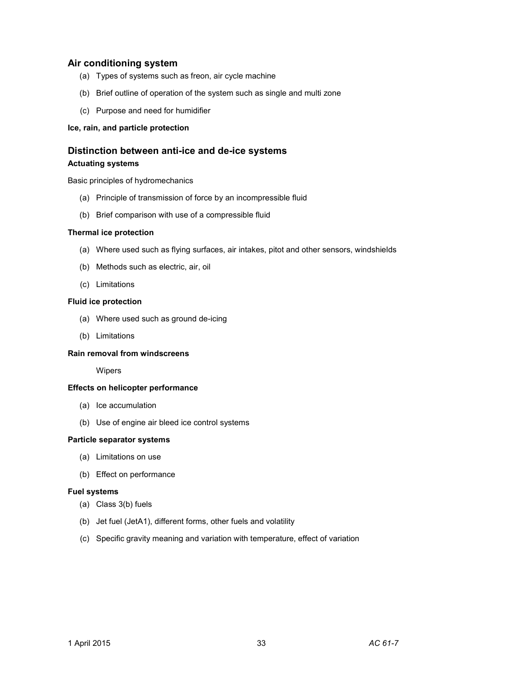# **Air conditioning system**

- (a) Types of systems such as freon, air cycle machine
- (b) Brief outline of operation of the system such as single and multi zone
- (c) Purpose and need for humidifier

#### **Ice, rain, and particle protection**

# **Distinction between anti-ice and de-ice systems Actuating systems**

Basic principles of hydromechanics

- (a) Principle of transmission of force by an incompressible fluid
- (b) Brief comparison with use of a compressible fluid

#### **Thermal ice protection**

- (a) Where used such as flying surfaces, air intakes, pitot and other sensors, windshields
- (b) Methods such as electric, air, oil
- (c) Limitations

#### **Fluid ice protection**

- (a) Where used such as ground de-icing
- (b) Limitations

#### **Rain removal from windscreens**

Wipers

#### **Effects on helicopter performance**

- (a) Ice accumulation
- (b) Use of engine air bleed ice control systems

#### **Particle separator systems**

- (a) Limitations on use
- (b) Effect on performance

#### **Fuel systems**

- (a) Class 3(b) fuels
- (b) Jet fuel (JetA1), different forms, other fuels and volatility
- (c) Specific gravity meaning and variation with temperature, effect of variation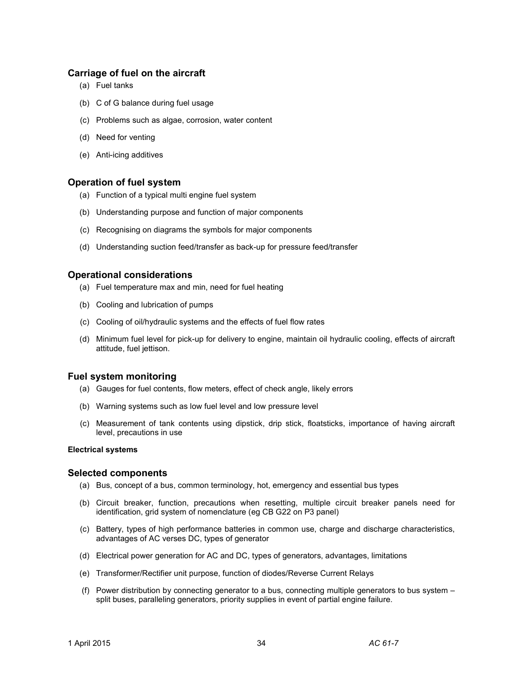# **Carriage of fuel on the aircraft**

- (a) Fuel tanks
- (b) C of G balance during fuel usage
- (c) Problems such as algae, corrosion, water content
- (d) Need for venting
- (e) Anti-icing additives

### **Operation of fuel system**

- (a) Function of a typical multi engine fuel system
- (b) Understanding purpose and function of major components
- (c) Recognising on diagrams the symbols for major components
- (d) Understanding suction feed/transfer as back-up for pressure feed/transfer

# **Operational considerations**

- (a) Fuel temperature max and min, need for fuel heating
- (b) Cooling and lubrication of pumps
- (c) Cooling of oil/hydraulic systems and the effects of fuel flow rates
- (d) Minimum fuel level for pick-up for delivery to engine, maintain oil hydraulic cooling, effects of aircraft attitude, fuel jettison.

# **Fuel system monitoring**

- (a) Gauges for fuel contents, flow meters, effect of check angle, likely errors
- (b) Warning systems such as low fuel level and low pressure level
- (c) Measurement of tank contents using dipstick, drip stick, floatsticks, importance of having aircraft level, precautions in use

#### **Electrical systems**

#### **Selected components**

- (a) Bus, concept of a bus, common terminology, hot, emergency and essential bus types
- (b) Circuit breaker, function, precautions when resetting, multiple circuit breaker panels need for identification, grid system of nomenclature (eg CB G22 on P3 panel)
- (c) Battery, types of high performance batteries in common use, charge and discharge characteristics, advantages of AC verses DC, types of generator
- (d) Electrical power generation for AC and DC, types of generators, advantages, limitations
- (e) Transformer/Rectifier unit purpose, function of diodes/Reverse Current Relays
- (f) Power distribution by connecting generator to a bus, connecting multiple generators to bus system split buses, paralleling generators, priority supplies in event of partial engine failure.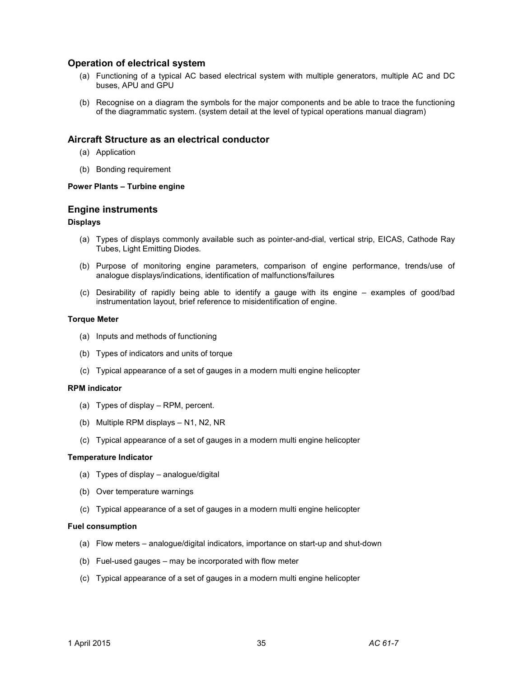# **Operation of electrical system**

- (a) Functioning of a typical AC based electrical system with multiple generators, multiple AC and DC buses, APU and GPU
- (b) Recognise on a diagram the symbols for the major components and be able to trace the functioning of the diagrammatic system. (system detail at the level of typical operations manual diagram)

# **Aircraft Structure as an electrical conductor**

- (a) Application
- (b) Bonding requirement

#### **Power Plants – Turbine engine**

### **Engine instruments**

#### **Displays**

- (a) Types of displays commonly available such as pointer-and-dial, vertical strip, EICAS, Cathode Ray Tubes, Light Emitting Diodes.
- (b) Purpose of monitoring engine parameters, comparison of engine performance, trends/use of analogue displays/indications, identification of malfunctions/failures
- (c) Desirability of rapidly being able to identify a gauge with its engine examples of good/bad instrumentation layout, brief reference to misidentification of engine.

#### **Torque Meter**

- (a) Inputs and methods of functioning
- (b) Types of indicators and units of torque
- (c) Typical appearance of a set of gauges in a modern multi engine helicopter

#### **RPM indicator**

- (a) Types of display RPM, percent.
- (b) Multiple RPM displays N1, N2, NR
- (c) Typical appearance of a set of gauges in a modern multi engine helicopter

#### **Temperature Indicator**

- (a) Types of display analogue/digital
- (b) Over temperature warnings
- (c) Typical appearance of a set of gauges in a modern multi engine helicopter

#### **Fuel consumption**

- (a) Flow meters analogue/digital indicators, importance on start-up and shut-down
- (b) Fuel-used gauges may be incorporated with flow meter
- (c) Typical appearance of a set of gauges in a modern multi engine helicopter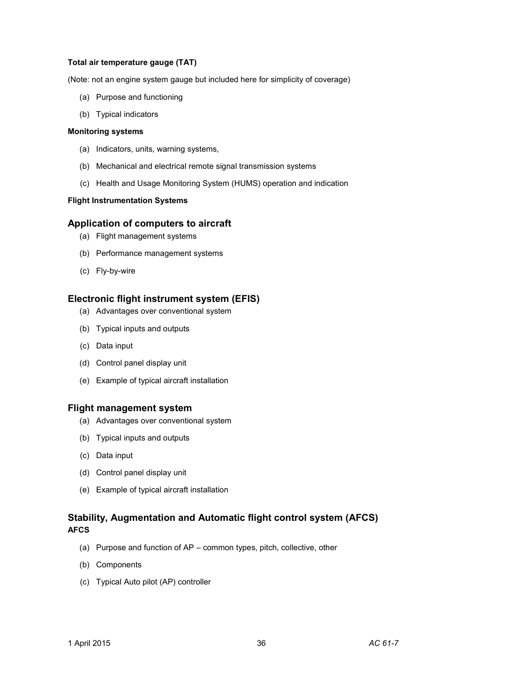#### **Total air temperature gauge (TAT)**

(Note: not an engine system gauge but included here for simplicity of coverage)

- (a) Purpose and functioning
- (b) Typical indicators

#### **Monitoring systems**

- (a) Indicators, units, warning systems,
- (b) Mechanical and electrical remote signal transmission systems
- (c) Health and Usage Monitoring System (HUMS) operation and indication

#### **Flight Instrumentation Systems**

### **Application of computers to aircraft**

- (a) Flight management systems
- (b) Performance management systems
- (c) Fly-by-wire

# **Electronic flight instrument system (EFIS)**

- (a) Advantages over conventional system
- (b) Typical inputs and outputs
- (c) Data input
- (d) Control panel display unit
- (e) Example of typical aircraft installation

#### **Flight management system**

- (a) Advantages over conventional system
- (b) Typical inputs and outputs
- (c) Data input
- (d) Control panel display unit
- (e) Example of typical aircraft installation

# **Stability, Augmentation and Automatic flight control system (AFCS) AFCS**

- (a) Purpose and function of AP common types, pitch, collective, other
- (b) Components
- (c) Typical Auto pilot (AP) controller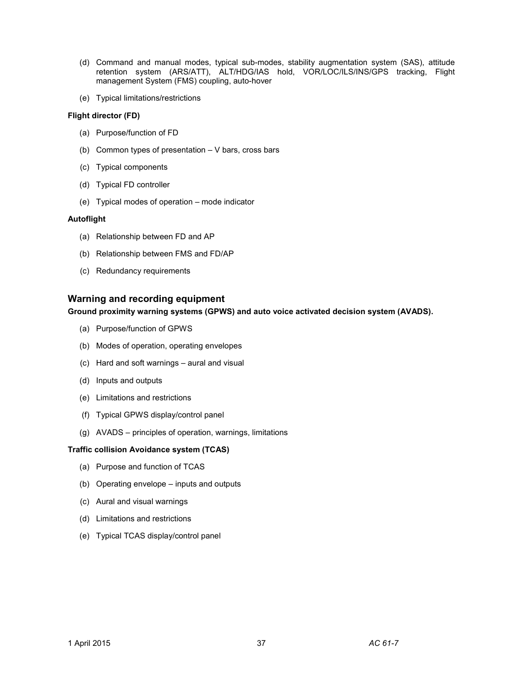- (d) Command and manual modes, typical sub-modes, stability augmentation system (SAS), attitude retention system (ARS/ATT), ALT/HDG/IAS hold, VOR/LOC/ILS/INS/GPS tracking, Flight management System (FMS) coupling, auto-hover
- (e) Typical limitations/restrictions

#### **Flight director (FD)**

- (a) Purpose/function of FD
- (b) Common types of presentation V bars, cross bars
- (c) Typical components
- (d) Typical FD controller
- (e) Typical modes of operation mode indicator

#### **Autoflight**

- (a) Relationship between FD and AP
- (b) Relationship between FMS and FD/AP
- (c) Redundancy requirements

# **Warning and recording equipment**

**Ground proximity warning systems (GPWS) and auto voice activated decision system (AVADS).** 

- (a) Purpose/function of GPWS
- (b) Modes of operation, operating envelopes
- (c) Hard and soft warnings aural and visual
- (d) Inputs and outputs
- (e) Limitations and restrictions
- (f) Typical GPWS display/control panel
- (g) AVADS principles of operation, warnings, limitations

#### **Traffic collision Avoidance system (TCAS)**

- (a) Purpose and function of TCAS
- (b) Operating envelope inputs and outputs
- (c) Aural and visual warnings
- (d) Limitations and restrictions
- (e) Typical TCAS display/control panel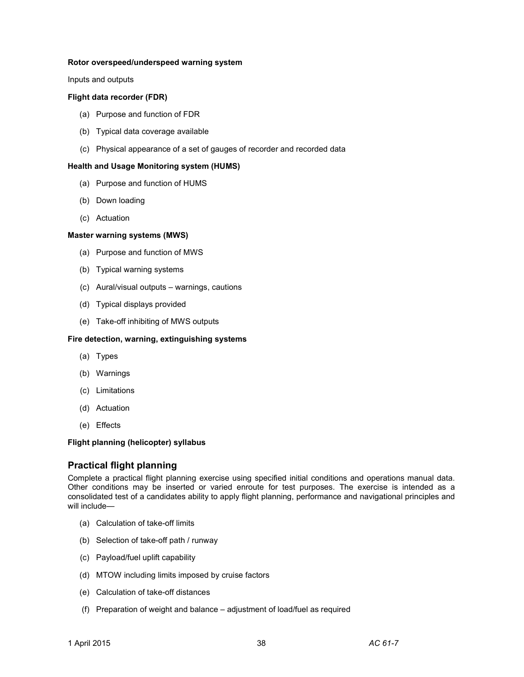#### **Rotor overspeed/underspeed warning system**

Inputs and outputs

#### **Flight data recorder (FDR)**

- (a) Purpose and function of FDR
- (b) Typical data coverage available
- (c) Physical appearance of a set of gauges of recorder and recorded data

#### **Health and Usage Monitoring system (HUMS)**

- (a) Purpose and function of HUMS
- (b) Down loading
- (c) Actuation

#### **Master warning systems (MWS)**

- (a) Purpose and function of MWS
- (b) Typical warning systems
- (c) Aural/visual outputs warnings, cautions
- (d) Typical displays provided
- (e) Take-off inhibiting of MWS outputs

#### **Fire detection, warning, extinguishing systems**

- (a) Types
- (b) Warnings
- (c) Limitations
- (d) Actuation
- (e) Effects

#### **Flight planning (helicopter) syllabus**

#### **Practical flight planning**

Complete a practical flight planning exercise using specified initial conditions and operations manual data. Other conditions may be inserted or varied enroute for test purposes. The exercise is intended as a consolidated test of a candidates ability to apply flight planning, performance and navigational principles and will include—

- (a) Calculation of take-off limits
- (b) Selection of take-off path / runway
- (c) Payload/fuel uplift capability
- (d) MTOW including limits imposed by cruise factors
- (e) Calculation of take-off distances
- (f) Preparation of weight and balance adjustment of load/fuel as required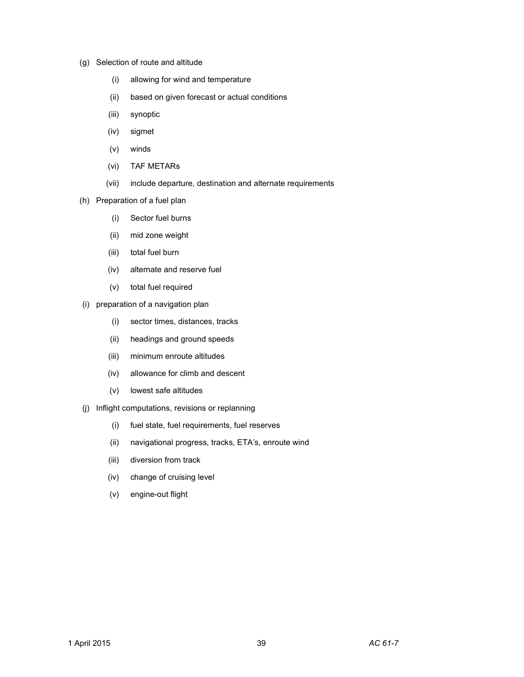- (g) Selection of route and altitude
	- (i) allowing for wind and temperature
	- (ii) based on given forecast or actual conditions
	- (iii) synoptic
	- (iv) sigmet
	- (v) winds
	- (vi) TAF METARs
	- (vii) include departure, destination and alternate requirements
- (h) Preparation of a fuel plan
	- (i) Sector fuel burns
	- (ii) mid zone weight
	- (iii) total fuel burn
	- (iv) alternate and reserve fuel
	- (v) total fuel required
- (i) preparation of a navigation plan
	- (i) sector times, distances, tracks
	- (ii) headings and ground speeds
	- (iii) minimum enroute altitudes
	- (iv) allowance for climb and descent
	- (v) lowest safe altitudes
- (j) Inflight computations, revisions or replanning
	- (i) fuel state, fuel requirements, fuel reserves
	- (ii) navigational progress, tracks, ETA's, enroute wind
	- (iii) diversion from track
	- (iv) change of cruising level
	- (v) engine-out flight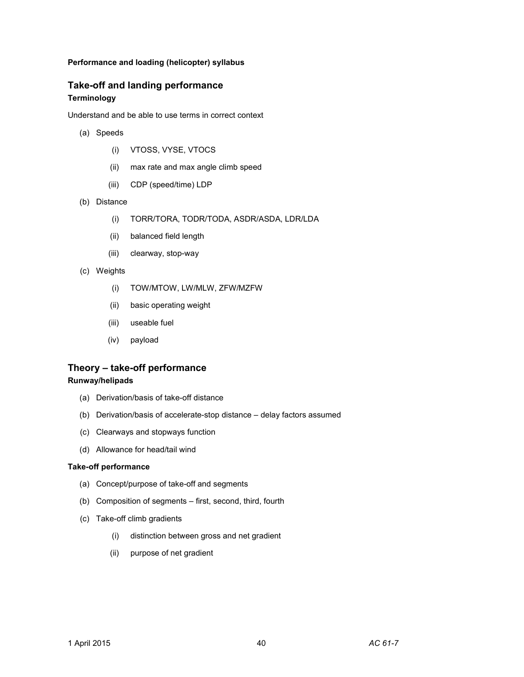#### **Performance and loading (helicopter) syllabus**

# **Take-off and landing performance Terminology**

Understand and be able to use terms in correct context

- (a) Speeds
	- (i) VTOSS, VYSE, VTOCS
	- (ii) max rate and max angle climb speed
	- (iii) CDP (speed/time) LDP
- (b) Distance
	- (i) TORR/TORA, TODR/TODA, ASDR/ASDA, LDR/LDA
	- (ii) balanced field length
	- (iii) clearway, stop-way
- (c) Weights
	- (i) TOW/MTOW, LW/MLW, ZFW/MZFW
	- (ii) basic operating weight
	- (iii) useable fuel
	- (iv) payload

# **Theory – take-off performance**

#### **Runway/helipads**

- (a) Derivation/basis of take-off distance
- (b) Derivation/basis of accelerate-stop distance delay factors assumed
- (c) Clearways and stopways function
- (d) Allowance for head/tail wind

# **Take-off performance**

- (a) Concept/purpose of take-off and segments
- (b) Composition of segments first, second, third, fourth
- (c) Take-off climb gradients
	- (i) distinction between gross and net gradient
	- (ii) purpose of net gradient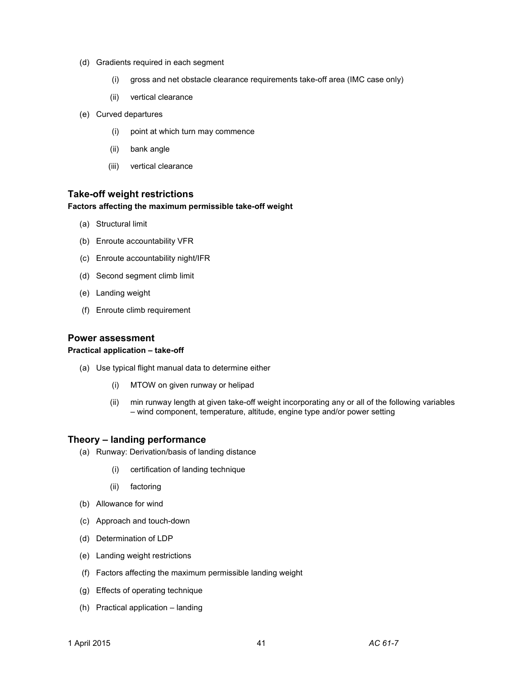- (d) Gradients required in each segment
	- (i) gross and net obstacle clearance requirements take-off area (IMC case only)
	- (ii) vertical clearance
- (e) Curved departures
	- (i) point at which turn may commence
	- (ii) bank angle
	- (iii) vertical clearance

# **Take-off weight restrictions**

#### **Factors affecting the maximum permissible take-off weight**

- (a) Structural limit
- (b) Enroute accountability VFR
- (c) Enroute accountability night/IFR
- (d) Second segment climb limit
- (e) Landing weight
- (f) Enroute climb requirement

#### **Power assessment**

#### **Practical application – take-off**

- (a) Use typical flight manual data to determine either
	- (i) MTOW on given runway or helipad
	- (ii) min runway length at given take-off weight incorporating any or all of the following variables – wind component, temperature, altitude, engine type and/or power setting

#### **Theory – landing performance**

- (a) Runway: Derivation/basis of landing distance
	- (i) certification of landing technique
	- (ii) factoring
- (b) Allowance for wind
- (c) Approach and touch-down
- (d) Determination of LDP
- (e) Landing weight restrictions
- (f) Factors affecting the maximum permissible landing weight
- (g) Effects of operating technique
- (h) Practical application landing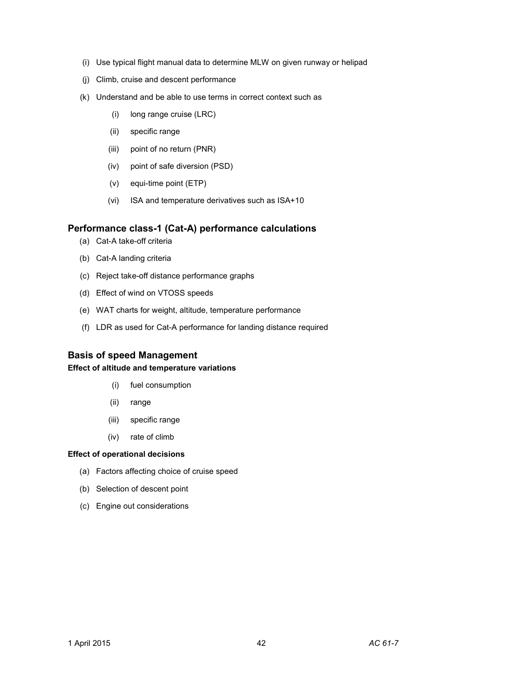- (i) Use typical flight manual data to determine MLW on given runway or helipad
- (j) Climb, cruise and descent performance
- (k) Understand and be able to use terms in correct context such as
	- (i) long range cruise (LRC)
	- (ii) specific range
	- (iii) point of no return (PNR)
	- (iv) point of safe diversion (PSD)
	- (v) equi-time point (ETP)
	- (vi) ISA and temperature derivatives such as ISA+10

### **Performance class-1 (Cat-A) performance calculations**

- (a) Cat-A take-off criteria
- (b) Cat-A landing criteria
- (c) Reject take-off distance performance graphs
- (d) Effect of wind on VTOSS speeds
- (e) WAT charts for weight, altitude, temperature performance
- (f) LDR as used for Cat-A performance for landing distance required

#### **Basis of speed Management**

### **Effect of altitude and temperature variations**

- (i) fuel consumption
- (ii) range
- (iii) specific range
- (iv) rate of climb

#### **Effect of operational decisions**

- (a) Factors affecting choice of cruise speed
- (b) Selection of descent point
- (c) Engine out considerations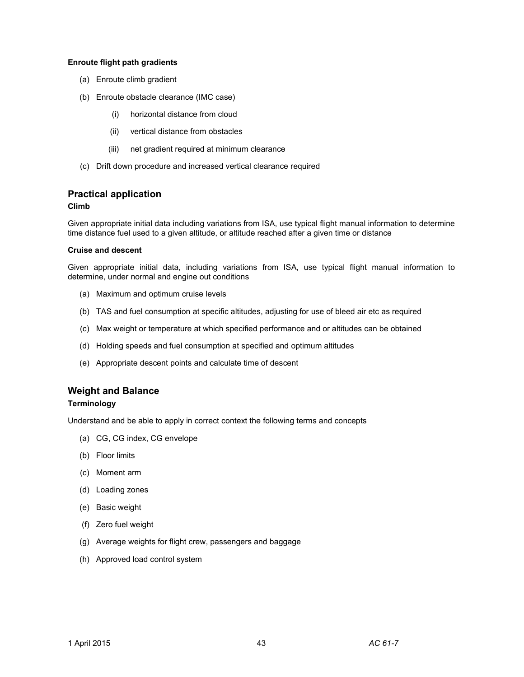#### **Enroute flight path gradients**

- (a) Enroute climb gradient
- (b) Enroute obstacle clearance (IMC case)
	- (i) horizontal distance from cloud
	- (ii) vertical distance from obstacles
	- (iii) net gradient required at minimum clearance
- (c) Drift down procedure and increased vertical clearance required

### **Practical application**

#### **Climb**

Given appropriate initial data including variations from ISA, use typical flight manual information to determine time distance fuel used to a given altitude, or altitude reached after a given time or distance

#### **Cruise and descent**

Given appropriate initial data, including variations from ISA, use typical flight manual information to determine, under normal and engine out conditions

- (a) Maximum and optimum cruise levels
- (b) TAS and fuel consumption at specific altitudes, adjusting for use of bleed air etc as required
- (c) Max weight or temperature at which specified performance and or altitudes can be obtained
- (d) Holding speeds and fuel consumption at specified and optimum altitudes
- (e) Appropriate descent points and calculate time of descent

# **Weight and Balance**

# **Terminology**

Understand and be able to apply in correct context the following terms and concepts

- (a) CG, CG index, CG envelope
- (b) Floor limits
- (c) Moment arm
- (d) Loading zones
- (e) Basic weight
- (f) Zero fuel weight
- (g) Average weights for flight crew, passengers and baggage
- (h) Approved load control system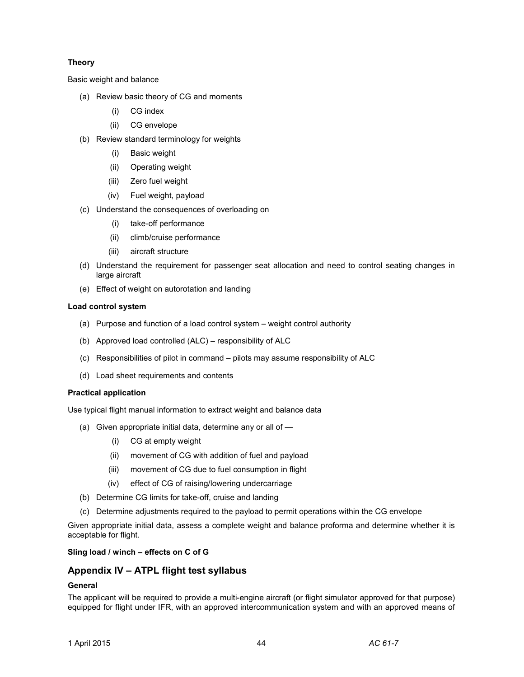### **Theory**

Basic weight and balance

- (a) Review basic theory of CG and moments
	- (i) CG index
	- (ii) CG envelope
- (b) Review standard terminology for weights
	- (i) Basic weight
	- (ii) Operating weight
	- (iii) Zero fuel weight
	- (iv) Fuel weight, payload
- (c) Understand the consequences of overloading on
	- (i) take-off performance
	- (ii) climb/cruise performance
	- (iii) aircraft structure
- (d) Understand the requirement for passenger seat allocation and need to control seating changes in large aircraft
- (e) Effect of weight on autorotation and landing

#### **Load control system**

- (a) Purpose and function of a load control system weight control authority
- (b) Approved load controlled (ALC) responsibility of ALC
- (c) Responsibilities of pilot in command pilots may assume responsibility of ALC
- (d) Load sheet requirements and contents

#### **Practical application**

Use typical flight manual information to extract weight and balance data

- (a) Given appropriate initial data, determine any or all of
	- (i) CG at empty weight
	- (ii) movement of CG with addition of fuel and payload
	- (iii) movement of CG due to fuel consumption in flight
	- (iv) effect of CG of raising/lowering undercarriage
- (b) Determine CG limits for take-off, cruise and landing
- (c) Determine adjustments required to the payload to permit operations within the CG envelope

Given appropriate initial data, assess a complete weight and balance proforma and determine whether it is acceptable for flight.

#### **Sling load / winch – effects on C of G**

# **Appendix IV – ATPL flight test syllabus**

#### **General**

The applicant will be required to provide a multi-engine aircraft (or flight simulator approved for that purpose) equipped for flight under IFR, with an approved intercommunication system and with an approved means of